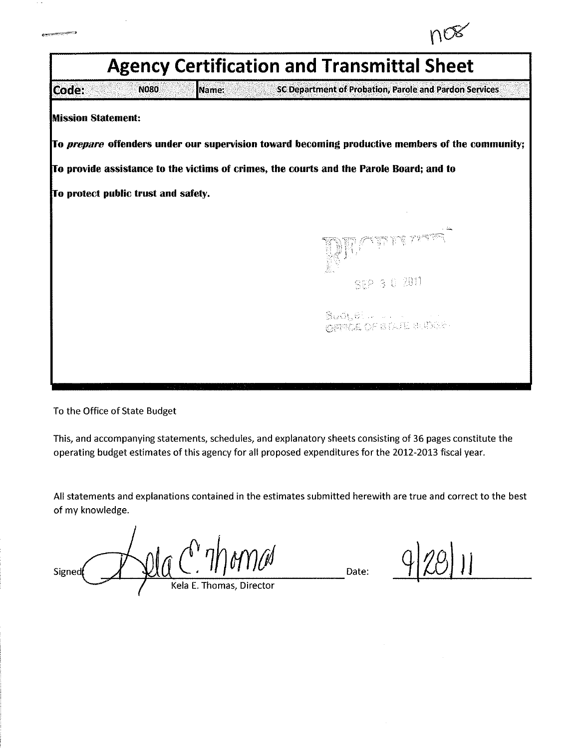

To the Office of State Budget

This, and accompanying statements, schedules, and explanatory sheets consisting of 36 pages constitute the operating budget estimates of this agency for all proposed expenditures for the 2012-2013 fiscal year.

All statements and explanations contained in the estimates submitted herewith are true and correct to the best of my knowledge.

Signed Kela E. Thomas, Director

Date: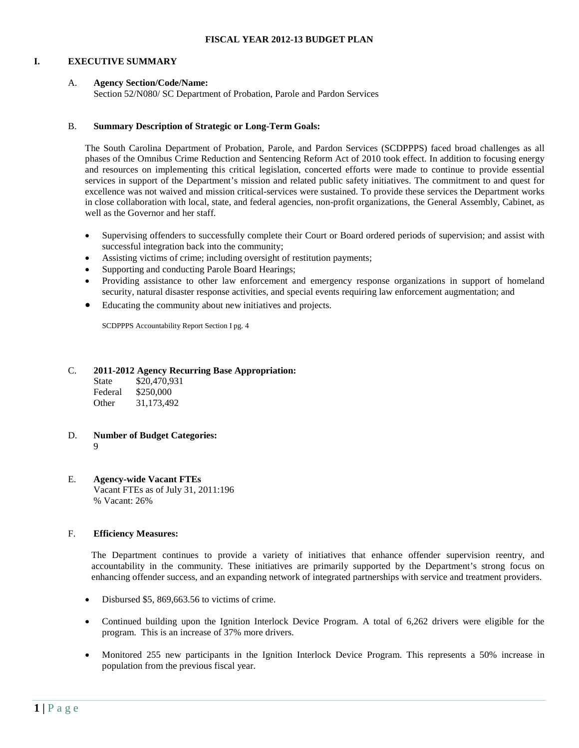#### **I. EXECUTIVE SUMMARY**

#### A. **Agency Section/Code/Name:**

Section 52/N080/ SC Department of Probation, Parole and Pardon Services

#### B. **Summary Description of Strategic or Long-Term Goals:**

The South Carolina Department of Probation, Parole, and Pardon Services (SCDPPPS) faced broad challenges as all phases of the Omnibus Crime Reduction and Sentencing Reform Act of 2010 took effect. In addition to focusing energy and resources on implementing this critical legislation, concerted efforts were made to continue to provide essential services in support of the Department's mission and related public safety initiatives. The commitment to and quest for excellence was not waived and mission critical-services were sustained. To provide these services the Department works in close collaboration with local, state, and federal agencies, non-profit organizations, the General Assembly, Cabinet, as well as the Governor and her staff.

- Supervising offenders to successfully complete their Court or Board ordered periods of supervision; and assist with successful integration back into the community;
- Assisting victims of crime; including oversight of restitution payments;
- Supporting and conducting Parole Board Hearings;
- Providing assistance to other law enforcement and emergency response organizations in support of homeland security, natural disaster response activities, and special events requiring law enforcement augmentation; and
- Educating the community about new initiatives and projects.

SCDPPPS Accountability Report Section I pg. 4

#### C. **2011-2012 Agency Recurring Base Appropriation:**

| State   | \$20,470,931 |
|---------|--------------|
| Federal | \$250,000    |
| Other   | 31,173,492   |

# D. **Number of Budget Categories:**

9

#### E. **Agency-wide Vacant FTEs** Vacant FTEs as of July 31, 2011:196 % Vacant: 26%

## F. **Efficiency Measures:**

The Department continues to provide a variety of initiatives that enhance offender supervision reentry, and accountability in the community. These initiatives are primarily supported by the Department's strong focus on enhancing offender success, and an expanding network of integrated partnerships with service and treatment providers.

- Disbursed \$5, 869, 663.56 to victims of crime.
- Continued building upon the Ignition Interlock Device Program. A total of 6,262 drivers were eligible for the program. This is an increase of 37% more drivers.
- Monitored 255 new participants in the Ignition Interlock Device Program. This represents a 50% increase in population from the previous fiscal year.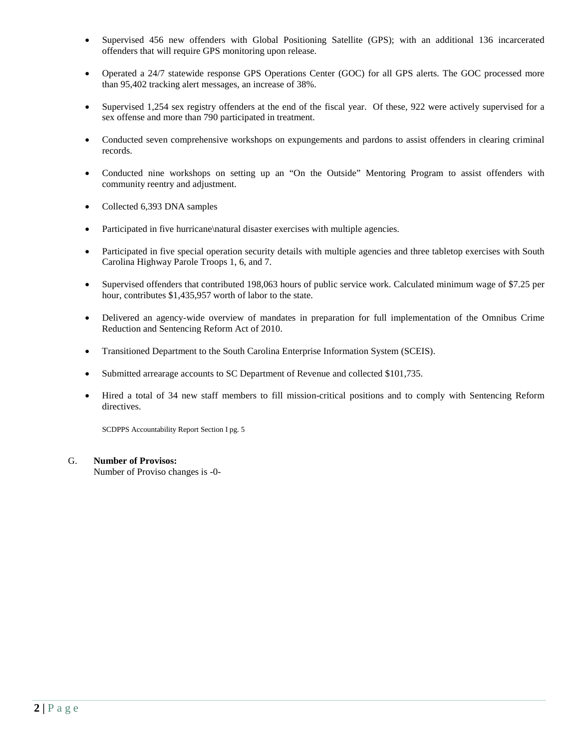- Supervised 456 new offenders with Global Positioning Satellite (GPS); with an additional 136 incarcerated offenders that will require GPS monitoring upon release.
- Operated a 24/7 statewide response GPS Operations Center (GOC) for all GPS alerts. The GOC processed more than 95,402 tracking alert messages, an increase of 38%.
- Supervised 1,254 sex registry offenders at the end of the fiscal year. Of these, 922 were actively supervised for a sex offense and more than 790 participated in treatment.
- Conducted seven comprehensive workshops on expungements and pardons to assist offenders in clearing criminal records.
- Conducted nine workshops on setting up an "On the Outside" Mentoring Program to assist offenders with community reentry and adjustment.
- Collected 6,393 DNA samples
- Participated in five hurricane\natural disaster exercises with multiple agencies.
- Participated in five special operation security details with multiple agencies and three tabletop exercises with South Carolina Highway Parole Troops 1, 6, and 7.
- Supervised offenders that contributed 198,063 hours of public service work. Calculated minimum wage of \$7.25 per hour, contributes \$1,435,957 worth of labor to the state.
- Delivered an agency-wide overview of mandates in preparation for full implementation of the Omnibus Crime Reduction and Sentencing Reform Act of 2010.
- Transitioned Department to the South Carolina Enterprise Information System (SCEIS).
- Submitted arrearage accounts to SC Department of Revenue and collected \$101,735.
- Hired a total of 34 new staff members to fill mission-critical positions and to comply with Sentencing Reform directives.

SCDPPS Accountability Report Section I pg. 5

## G. **Number of Provisos:**

Number of Proviso changes is -0-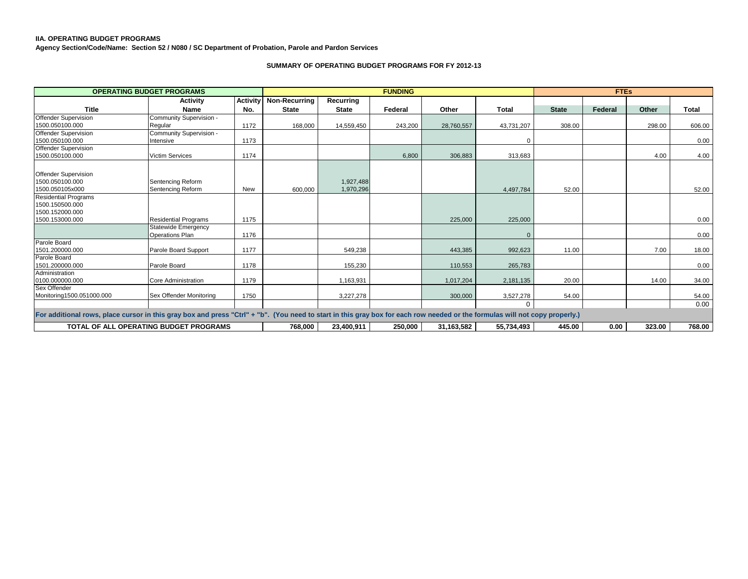#### **IIA. OPERATING BUDGET PROGRAMS**

**Agency Section/Code/Name: Section 52 / N080 / SC Department of Probation, Parole and Pardon Services**

#### **SUMMARY OF OPERATING BUDGET PROGRAMS FOR FY 2012-13**

|                                                                                                                                                                             | <b>OPERATING BUDGET PROGRAMS</b>       |            |                      |                        | <b>FUNDING</b> |            |              |              | <b>FTEs</b> |        |              |
|-----------------------------------------------------------------------------------------------------------------------------------------------------------------------------|----------------------------------------|------------|----------------------|------------------------|----------------|------------|--------------|--------------|-------------|--------|--------------|
|                                                                                                                                                                             | Activity                               | Activity   | <b>Non-Recurring</b> | Recurring              |                |            |              |              |             |        |              |
| <b>Title</b>                                                                                                                                                                | Name                                   | No.        | <b>State</b>         | <b>State</b>           | Federal        | Other      | Total        | <b>State</b> | Federal     | Other  | <b>Total</b> |
| <b>Offender Supervision</b>                                                                                                                                                 | Community Supervision -                |            |                      |                        |                |            |              |              |             |        |              |
| 1500.050100.000                                                                                                                                                             | Regular                                | 1172       | 168,000              | 14,559,450             | 243,200        | 28,760,557 | 43,731,207   | 308.00       |             | 298.00 | 606.00       |
| Offender Supervision                                                                                                                                                        | Community Supervision -                |            |                      |                        |                |            |              |              |             |        |              |
| 1500.050100.000                                                                                                                                                             | Intensive                              | 1173       |                      |                        |                |            | $\Omega$     |              |             |        | 0.00         |
| <b>Offender Supervision</b>                                                                                                                                                 |                                        |            |                      |                        |                |            |              |              |             |        |              |
| 1500.050100.000                                                                                                                                                             | <b>Victim Services</b>                 | 1174       |                      |                        | 6,800          | 306,883    | 313,683      |              |             | 4.00   | 4.00         |
| <b>Offender Supervision</b><br>1500.050100.000<br>1500.050105x000                                                                                                           | Sentencing Reform<br>Sentencing Reform | <b>New</b> | 600.000              | 1,927,488<br>1,970,296 |                |            | 4,497,784    | 52.00        |             |        | 52.00        |
| <b>Residential Programs</b><br>1500.150500.000<br>1500.152000.000<br>1500.153000.000                                                                                        | <b>Residential Programs</b>            | 1175       |                      |                        |                | 225,000    | 225,000      |              |             |        | 0.00         |
|                                                                                                                                                                             | Statewide Emergency                    |            |                      |                        |                |            |              |              |             |        |              |
|                                                                                                                                                                             | <b>Operations Plan</b>                 | 1176       |                      |                        |                |            | $\mathbf{0}$ |              |             |        | 0.00         |
| Parole Board                                                                                                                                                                |                                        |            |                      |                        |                |            |              |              |             |        |              |
| 1501.200000.000                                                                                                                                                             | Parole Board Support                   | 1177       |                      | 549,238                |                | 443,385    | 992,623      | 11.00        |             | 7.00   | 18.00        |
| Parole Board<br>1501.200000.000                                                                                                                                             | Parole Board                           | 1178       |                      | 155,230                |                | 110,553    | 265,783      |              |             |        | 0.00         |
| Administration                                                                                                                                                              |                                        |            |                      |                        |                |            |              |              |             |        |              |
| 0100.000000.000                                                                                                                                                             | Core Administration                    | 1179       |                      | 1,163,931              |                | 1,017,204  | 2,181,135    | 20.00        |             | 14.00  | 34.00        |
| Sex Offender                                                                                                                                                                |                                        |            |                      |                        |                |            |              |              |             |        |              |
| Monitoring1500.051000.000                                                                                                                                                   | Sex Offender Monitoring                | 1750       |                      | 3,227,278              |                | 300,000    | 3,527,278    | 54.00        |             |        | 54.00        |
|                                                                                                                                                                             |                                        |            |                      |                        |                |            | $\mathbf 0$  |              |             |        | 0.00         |
| For additional rows, place cursor in this gray box and press "Ctrl" + "b". (You need to start in this gray box for each row needed or the formulas will not copy properly.) |                                        |            |                      |                        |                |            |              |              |             |        |              |
|                                                                                                                                                                             | TOTAL OF ALL OPERATING BUDGET PROGRAMS |            | 768,000              | 23,400,911             | 250,000        | 31,163,582 | 55,734,493   | 445.00       | 0.00        | 323.00 | 768.00       |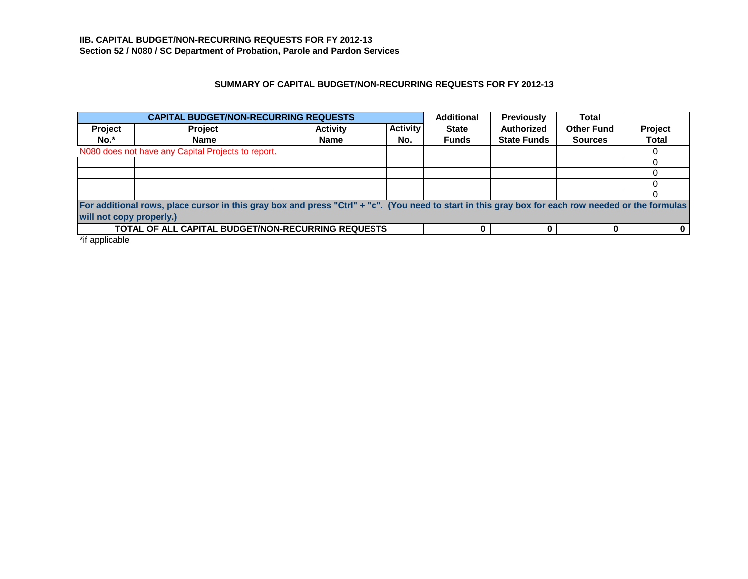## **SUMMARY OF CAPITAL BUDGET/NON-RECURRING REQUESTS FOR FY 2012-13**

|                          | <b>CAPITAL BUDGET/NON-RECURRING REQUESTS</b>                                                                                                       |                 |                 | <b>Additional</b> | <b>Previously</b>  | <b>Total</b>      |              |
|--------------------------|----------------------------------------------------------------------------------------------------------------------------------------------------|-----------------|-----------------|-------------------|--------------------|-------------------|--------------|
| Project                  | <b>Project</b>                                                                                                                                     | <b>Activity</b> | <b>Activity</b> | <b>State</b>      | <b>Authorized</b>  | <b>Other Fund</b> | Project      |
| No.*                     | <b>Name</b>                                                                                                                                        | <b>Name</b>     | No.             | <b>Funds</b>      | <b>State Funds</b> | <b>Sources</b>    | <b>Total</b> |
|                          | N080 does not have any Capital Projects to report.                                                                                                 |                 |                 |                   |                    |                   |              |
|                          |                                                                                                                                                    |                 |                 |                   |                    |                   |              |
|                          |                                                                                                                                                    |                 |                 |                   |                    |                   |              |
|                          |                                                                                                                                                    |                 |                 |                   |                    |                   |              |
|                          |                                                                                                                                                    |                 |                 |                   |                    |                   |              |
|                          | For additional rows, place cursor in this gray box and press "Ctrl" + "c". (You need to start in this gray box for each row needed or the formulas |                 |                 |                   |                    |                   |              |
| will not copy properly.) |                                                                                                                                                    |                 |                 |                   |                    |                   |              |
|                          | <b>TOTAL OF ALL CAPITAL BUDGET/NON-RECURRING REQUESTS</b>                                                                                          |                 |                 |                   |                    |                   |              |

\*if applicable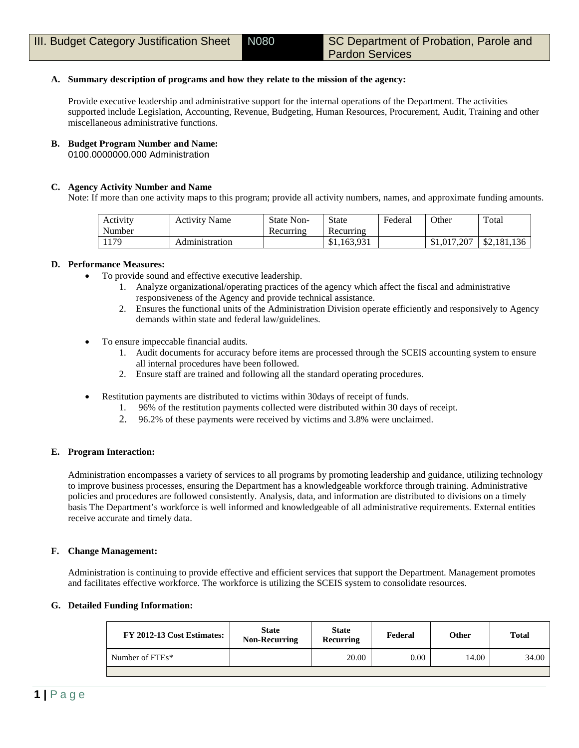## **A. Summary description of programs and how they relate to the mission of the agency:**

Provide executive leadership and administrative support for the internal operations of the Department. The activities supported include Legislation, Accounting, Revenue, Budgeting, Human Resources, Procurement, Audit, Training and other miscellaneous administrative functions.

## **B. Budget Program Number and Name:**

0100.0000000.000 Administration

## **C. Agency Activity Number and Name**

Note: If more than one activity maps to this program; provide all activity numbers, names, and approximate funding amounts.

| Activity | <b>Activity Name</b> | <b>State Non-</b> | <b>State</b> | Federal | Other       | Total       |
|----------|----------------------|-------------------|--------------|---------|-------------|-------------|
| Number   |                      | Recurring         | Recurring    |         |             |             |
| 1179     | Administration       |                   | \$1,163,931  |         | \$1,017,207 | \$2,181,136 |

## **D. Performance Measures:**

- To provide sound and effective executive leadership.
	- 1. Analyze organizational/operating practices of the agency which affect the fiscal and administrative responsiveness of the Agency and provide technical assistance.
	- 2. Ensures the functional units of the Administration Division operate efficiently and responsively to Agency demands within state and federal law/guidelines.
- To ensure impeccable financial audits.
	- 1. Audit documents for accuracy before items are processed through the SCEIS accounting system to ensure all internal procedures have been followed.
	- 2. Ensure staff are trained and following all the standard operating procedures.
- Restitution payments are distributed to victims within 30days of receipt of funds.
	- 1. 96% of the restitution payments collected were distributed within 30 days of receipt.
	- 2. 96.2% of these payments were received by victims and 3.8% were unclaimed.

## **E. Program Interaction:**

Administration encompasses a variety of services to all programs by promoting leadership and guidance, utilizing technology to improve business processes, ensuring the Department has a knowledgeable workforce through training. Administrative policies and procedures are followed consistently. Analysis, data, and information are distributed to divisions on a timely basis The Department's workforce is well informed and knowledgeable of all administrative requirements. External entities receive accurate and timely data.

## **F. Change Management:**

Administration is continuing to provide effective and efficient services that support the Department. Management promotes and facilitates effective workforce. The workforce is utilizing the SCEIS system to consolidate resources.

## **G. Detailed Funding Information:**

| FY 2012-13 Cost Estimates: | <b>State</b><br><b>Non-Recurring</b> | <b>State</b><br>Recurring | Federal | Other | <b>Total</b> |
|----------------------------|--------------------------------------|---------------------------|---------|-------|--------------|
| Number of FTEs*            |                                      | 20.00                     | 0.00    | 14.00 | 34.00        |
|                            |                                      |                           |         |       |              |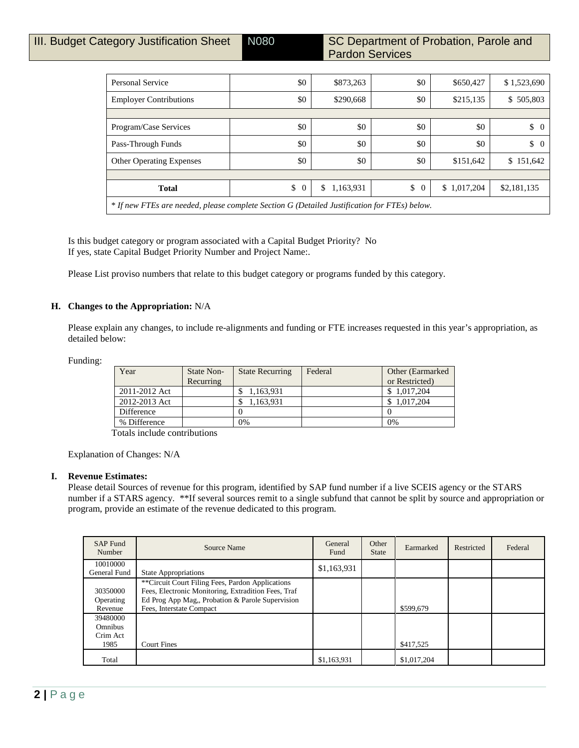| Personal Service                                                                             | \$0                  | \$873,263       | \$0                  | \$650,427   | \$1,523,690          |
|----------------------------------------------------------------------------------------------|----------------------|-----------------|----------------------|-------------|----------------------|
| <b>Employer Contributions</b>                                                                | \$0                  | \$290,668       | \$0                  | \$215,135   | \$505,803            |
|                                                                                              |                      |                 |                      |             |                      |
| Program/Case Services                                                                        | \$0                  | \$0             | \$0                  | \$0         | \$<br>$\overline{0}$ |
| Pass-Through Funds                                                                           | \$0                  | \$0             | \$0                  | \$0         | \$<br>$\overline{0}$ |
| <b>Other Operating Expenses</b>                                                              | \$0                  | \$0             | \$0                  | \$151,642   | \$151,642            |
|                                                                                              |                      |                 |                      |             |                      |
| <b>Total</b>                                                                                 | \$<br>$\overline{0}$ | \$<br>1,163,931 | \$<br>$\overline{0}$ | \$1,017,204 | \$2,181,135          |
| * If new FTEs are needed, please complete Section G (Detailed Justification for FTEs) below. |                      |                 |                      |             |                      |

Is this budget category or program associated with a Capital Budget Priority? No If yes, state Capital Budget Priority Number and Project Name:.

Please List proviso numbers that relate to this budget category or programs funded by this category.

## **H. Changes to the Appropriation:** N/A

Please explain any changes, to include re-alignments and funding or FTE increases requested in this year's appropriation, as detailed below:

Funding:

| Year          | State Non-<br>Recurring | <b>State Recurring</b> | Federal | Other (Earmarked)<br>or Restricted) |
|---------------|-------------------------|------------------------|---------|-------------------------------------|
| 2011-2012 Act |                         | 1,163,931              |         | 1.017.204                           |
| 2012-2013 Act |                         | 163.931                |         | 1.017.204                           |
| Difference    |                         |                        |         |                                     |
| % Difference  |                         | 0%                     |         | 0%                                  |

Totals include contributions

Explanation of Changes: N/A

## **I. Revenue Estimates:**

Please detail Sources of revenue for this program, identified by SAP fund number if a live SCEIS agency or the STARS number if a STARS agency. \*\*If several sources remit to a single subfund that cannot be split by source and appropriation or program, provide an estimate of the revenue dedicated to this program.

| <b>SAP Fund</b><br>Number                      | Source Name                                                                                                                                                                             | General<br>Fund | Other<br><b>State</b> | Earmarked   | Restricted | Federal |
|------------------------------------------------|-----------------------------------------------------------------------------------------------------------------------------------------------------------------------------------------|-----------------|-----------------------|-------------|------------|---------|
| 10010000<br>General Fund                       | <b>State Appropriations</b>                                                                                                                                                             | \$1,163,931     |                       |             |            |         |
| 30350000<br>Operating<br>Revenue               | **Circuit Court Filing Fees, Pardon Applications<br>Fees, Electronic Monitoring, Extradition Fees, Traf<br>Ed Prog App Mag,, Probation & Parole Supervision<br>Fees, Interstate Compact |                 |                       | \$599,679   |            |         |
| 39480000<br><b>Omnibus</b><br>Crim Act<br>1985 | <b>Court Fines</b>                                                                                                                                                                      |                 |                       | \$417,525   |            |         |
| Total                                          |                                                                                                                                                                                         | \$1,163,931     |                       | \$1,017,204 |            |         |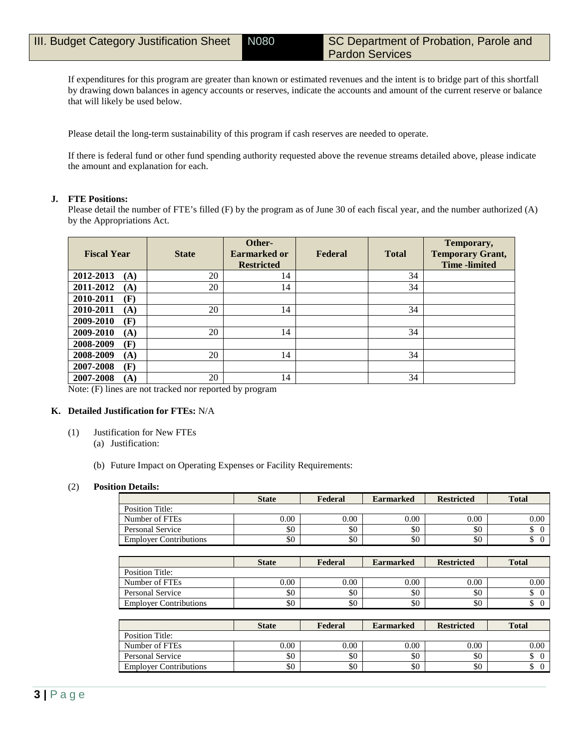If expenditures for this program are greater than known or estimated revenues and the intent is to bridge part of this shortfall by drawing down balances in agency accounts or reserves, indicate the accounts and amount of the current reserve or balance that will likely be used below.

Please detail the long-term sustainability of this program if cash reserves are needed to operate.

If there is federal fund or other fund spending authority requested above the revenue streams detailed above, please indicate the amount and explanation for each.

#### **J. FTE Positions:**

Please detail the number of FTE's filled (F) by the program as of June 30 of each fiscal year, and the number authorized (A) by the Appropriations Act.

| <b>Fiscal Year</b> | <b>State</b> | Other-<br>Earmarked or<br><b>Restricted</b> | Federal | <b>Total</b> | Temporary,<br><b>Temporary Grant,</b><br><b>Time</b> -limited |
|--------------------|--------------|---------------------------------------------|---------|--------------|---------------------------------------------------------------|
| 2012-2013<br>(A)   | 20           | 14                                          |         | 34           |                                                               |
| 2011-2012<br>(A)   | 20           | 14                                          |         | 34           |                                                               |
| 2010-2011<br>(F)   |              |                                             |         |              |                                                               |
| 2010-2011<br>(A)   | 20           | 14                                          |         | 34           |                                                               |
| 2009-2010<br>(F)   |              |                                             |         |              |                                                               |
| 2009-2010<br>(A)   | 20           | 14                                          |         | 34           |                                                               |
| 2008-2009<br>(F)   |              |                                             |         |              |                                                               |
| 2008-2009<br>(A)   | 20           | 14                                          |         | 34           |                                                               |
| 2007-2008<br>(F)   |              |                                             |         |              |                                                               |
| 2007-2008<br>(A)   | 20           | 14                                          |         | 34           |                                                               |

Note: (F) lines are not tracked nor reported by program

#### **K. Detailed Justification for FTEs:** N/A

- (1) Justification for New FTEs
	- (a) Justification:
	- (b) Future Impact on Operating Expenses or Facility Requirements:

#### (2) **Position Details:**

|                               | <b>State</b> | Federal | <b>Earmarked</b> | <b>Restricted</b> | <b>Total</b>         |
|-------------------------------|--------------|---------|------------------|-------------------|----------------------|
| Position Title:               |              |         |                  |                   |                      |
| Number of FTEs                | 0.00         | 0.00    | 0.00             | 0.00              | 0.00                 |
| <b>Personal Service</b>       | \$0          | \$0     | \$0              | \$0               | \$<br>$\theta$       |
|                               | \$0          | \$0     | \$0              | \$0               | \$<br>$\overline{0}$ |
| <b>Employer Contributions</b> |              |         |                  |                   |                      |
|                               |              |         |                  |                   |                      |
|                               | <b>State</b> | Federal | <b>Earmarked</b> | <b>Restricted</b> | <b>Total</b>         |
| Position Title:               |              |         |                  |                   |                      |
| Number of FTEs                | 0.00         | 0.00    | 0.00             | 0.00              | 0.00                 |
| <b>Personal Service</b>       | \$0          | \$0     | \$0              | \$0               | \$<br>$\overline{0}$ |

|                               | <b>State</b> | Federal | <b>Earmarked</b> | <b>Restricted</b> | <b>Total</b> |
|-------------------------------|--------------|---------|------------------|-------------------|--------------|
| Position Title:               |              |         |                  |                   |              |
| Number of FTEs                | 0.00         | 0.00    | 0.00             | 0.00              | 0.00         |
| Personal Service              | \$0          | \$0     | \$0              | \$0               |              |
| <b>Employer Contributions</b> | \$0          | \$0     | \$0              | \$0               |              |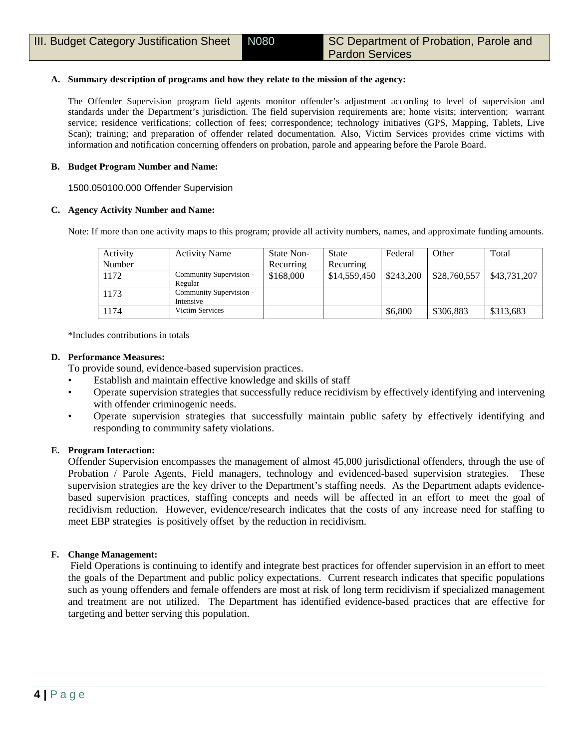## **A. Summary description of programs and how they relate to the mission of the agency:**

The Offender Supervision program field agents monitor offender's adjustment according to level of supervision and standards under the Department's jurisdiction. The field supervision requirements are; home visits; intervention; warrant service; residence verifications; collection of fees; correspondence; technology initiatives (GPS, Mapping, Tablets, Live Scan); training; and preparation of offender related documentation. Also, Victim Services provides crime victims with information and notification concerning offenders on probation, parole and appearing before the Parole Board.

## **B. Budget Program Number and Name:**

1500.050100.000 Offender Supervision

## **C. Agency Activity Number and Name:**

Note: If more than one activity maps to this program; provide all activity numbers, names, and approximate funding amounts.

| Activity | <b>Activity Name</b>                 | State Non- | State        | Federal   | Other        | Total        |
|----------|--------------------------------------|------------|--------------|-----------|--------------|--------------|
| Number   |                                      | Recurring  | Recurring    |           |              |              |
| 1172     | Community Supervision -<br>Regular   | \$168,000  | \$14,559,450 | \$243,200 | \$28,760,557 | \$43,731,207 |
| 1173     | Community Supervision -<br>Intensive |            |              |           |              |              |
| 1174     | Victim Services                      |            |              | \$6,800   | \$306,883    | \$313,683    |

\*Includes contributions in totals

## **D. Performance Measures:**

To provide sound, evidence-based supervision practices.

- Establish and maintain effective knowledge and skills of staff
- Operate supervision strategies that successfully reduce recidivism by effectively identifying and intervening with offender criminogenic needs.
- Operate supervision strategies that successfully maintain public safety by effectively identifying and responding to community safety violations.

## **E. Program Interaction:**

Offender Supervision encompasses the management of almost 45,000 jurisdictional offenders, through the use of Probation / Parole Agents, Field managers, technology and evidenced-based supervision strategies. These supervision strategies are the key driver to the Department's staffing needs. As the Department adapts evidencebased supervision practices, staffing concepts and needs will be affected in an effort to meet the goal of recidivism reduction. However, evidence/research indicates that the costs of any increase need for staffing to meet EBP strategies is positively offset by the reduction in recidivism.

## **F. Change Management:**

Field Operations is continuing to identify and integrate best practices for offender supervision in an effort to meet the goals of the Department and public policy expectations. Current research indicates that specific populations such as young offenders and female offenders are most at risk of long term recidivism if specialized management and treatment are not utilized. The Department has identified evidence-based practices that are effective for targeting and better serving this population.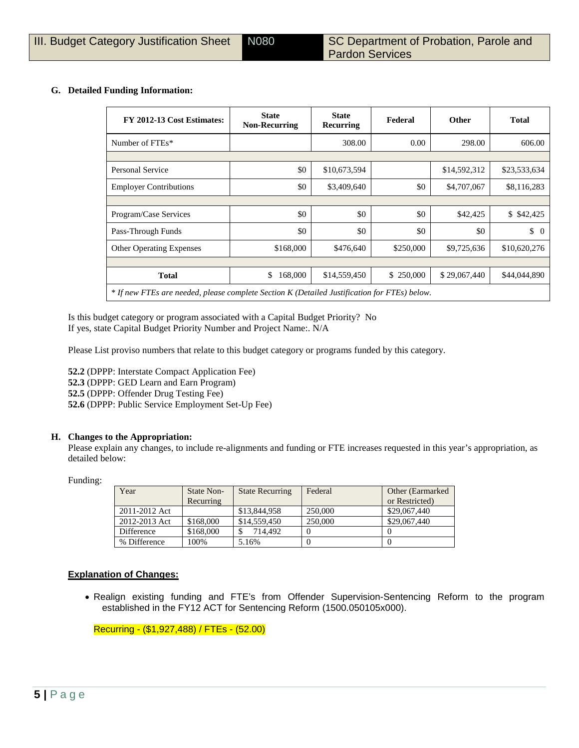## **G. Detailed Funding Information:**

| FY 2012-13 Cost Estimates:                                                                   | <b>State</b><br><b>Non-Recurring</b> | <b>State</b><br>Recurring | Federal   | <b>Other</b> | <b>Total</b>   |
|----------------------------------------------------------------------------------------------|--------------------------------------|---------------------------|-----------|--------------|----------------|
| Number of FTEs*                                                                              |                                      | 308.00                    | 0.00      | 298.00       | 606.00         |
|                                                                                              |                                      |                           |           |              |                |
| Personal Service                                                                             | \$0                                  | \$10,673,594              |           | \$14,592,312 | \$23,533,634   |
| <b>Employer Contributions</b>                                                                | \$0                                  | \$3,409,640               | \$0       | \$4,707,067  | \$8,116,283    |
|                                                                                              |                                      |                           |           |              |                |
| Program/Case Services                                                                        | \$0                                  | \$0                       | \$0       | \$42,425     | \$ \$42,425    |
| Pass-Through Funds                                                                           | \$0                                  | \$0                       | \$0       | \$0          | \$<br>$\Omega$ |
| <b>Other Operating Expenses</b>                                                              | \$168,000                            | \$476,640                 | \$250,000 | \$9,725,636  | \$10,620,276   |
|                                                                                              |                                      |                           |           |              |                |
| <b>Total</b>                                                                                 | \$<br>168,000                        | \$14,559,450              | \$250,000 | \$29,067,440 | \$44,044,890   |
| * If new FTEs are needed, please complete Section K (Detailed Justification for FTEs) below. |                                      |                           |           |              |                |

Is this budget category or program associated with a Capital Budget Priority? No If yes, state Capital Budget Priority Number and Project Name:. N/A

Please List proviso numbers that relate to this budget category or programs funded by this category.

**52.2** (DPPP: Interstate Compact Application Fee) **52.3** (DPPP: GED Learn and Earn Program) **52.5** (DPPP: Offender Drug Testing Fee) **52.6** (DPPP: Public Service Employment Set-Up Fee)

## **H. Changes to the Appropriation:**

Please explain any changes, to include re-alignments and funding or FTE increases requested in this year's appropriation, as detailed below:

Funding:

| Year          | State Non-<br>Recurring | <b>State Recurring</b> | Federal | Other (Earmarked)<br>or Restricted) |
|---------------|-------------------------|------------------------|---------|-------------------------------------|
| 2011-2012 Act |                         | \$13,844,958           | 250,000 | \$29,067,440                        |
| 2012-2013 Act | \$168,000               | \$14,559,450           | 250,000 | \$29,067,440                        |
| Difference    | \$168,000               | 714.492                |         |                                     |
| % Difference  | 100%                    | 5.16%                  |         |                                     |

## **Explanation of Changes:**

• Realign existing funding and FTE's from Offender Supervision-Sentencing Reform to the program established in the FY12 ACT for Sentencing Reform (1500.050105x000).

Recurring - (\$1,927,488) / FTEs - (52.00)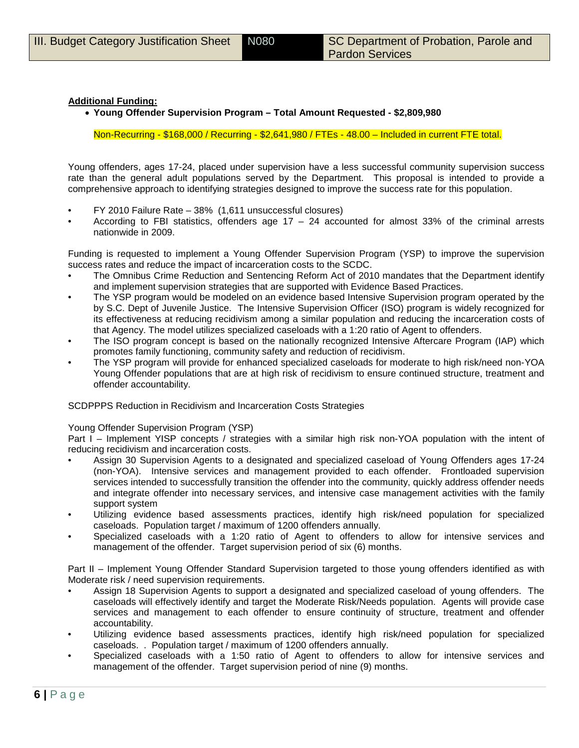## **Additional Funding:**

• **Young Offender Supervision Program – Total Amount Requested - \$2,809,980**

Non-Recurring - \$168,000 / Recurring - \$2,641,980 / FTEs - 48.00 – Included in current FTE total.

Young offenders, ages 17-24, placed under supervision have a less successful community supervision success rate than the general adult populations served by the Department. This proposal is intended to provide a comprehensive approach to identifying strategies designed to improve the success rate for this population.

- FY 2010 Failure Rate 38% (1,611 unsuccessful closures)
- According to FBI statistics, offenders age  $17 24$  accounted for almost 33% of the criminal arrests nationwide in 2009.

Funding is requested to implement a Young Offender Supervision Program (YSP) to improve the supervision success rates and reduce the impact of incarceration costs to the SCDC.

- The Omnibus Crime Reduction and Sentencing Reform Act of 2010 mandates that the Department identify and implement supervision strategies that are supported with Evidence Based Practices.
- The YSP program would be modeled on an evidence based Intensive Supervision program operated by the by S.C. Dept of Juvenile Justice. The Intensive Supervision Officer (ISO) program is widely recognized for its effectiveness at reducing recidivism among a similar population and reducing the incarceration costs of that Agency. The model utilizes specialized caseloads with a 1:20 ratio of Agent to offenders.
- The ISO program concept is based on the nationally recognized Intensive Aftercare Program (IAP) which promotes family functioning, community safety and reduction of recidivism.
- The YSP program will provide for enhanced specialized caseloads for moderate to high risk/need non-YOA Young Offender populations that are at high risk of recidivism to ensure continued structure, treatment and offender accountability.

SCDPPPS Reduction in Recidivism and Incarceration Costs Strategies

Young Offender Supervision Program (YSP)

Part I – Implement YISP concepts / strategies with a similar high risk non-YOA population with the intent of reducing recidivism and incarceration costs.

- Assign 30 Supervision Agents to a designated and specialized caseload of Young Offenders ages 17-24 (non-YOA). Intensive services and management provided to each offender. Frontloaded supervision services intended to successfully transition the offender into the community, quickly address offender needs and integrate offender into necessary services, and intensive case management activities with the family support system
- Utilizing evidence based assessments practices, identify high risk/need population for specialized caseloads. Population target / maximum of 1200 offenders annually.
- Specialized caseloads with a 1:20 ratio of Agent to offenders to allow for intensive services and management of the offender. Target supervision period of six (6) months.

Part II – Implement Young Offender Standard Supervision targeted to those young offenders identified as with Moderate risk / need supervision requirements.

- Assign 18 Supervision Agents to support a designated and specialized caseload of young offenders. The caseloads will effectively identify and target the Moderate Risk/Needs population. Agents will provide case services and management to each offender to ensure continuity of structure, treatment and offender accountability.
- Utilizing evidence based assessments practices, identify high risk/need population for specialized caseloads. . Population target / maximum of 1200 offenders annually.
- Specialized caseloads with a 1:50 ratio of Agent to offenders to allow for intensive services and management of the offender. Target supervision period of nine (9) months.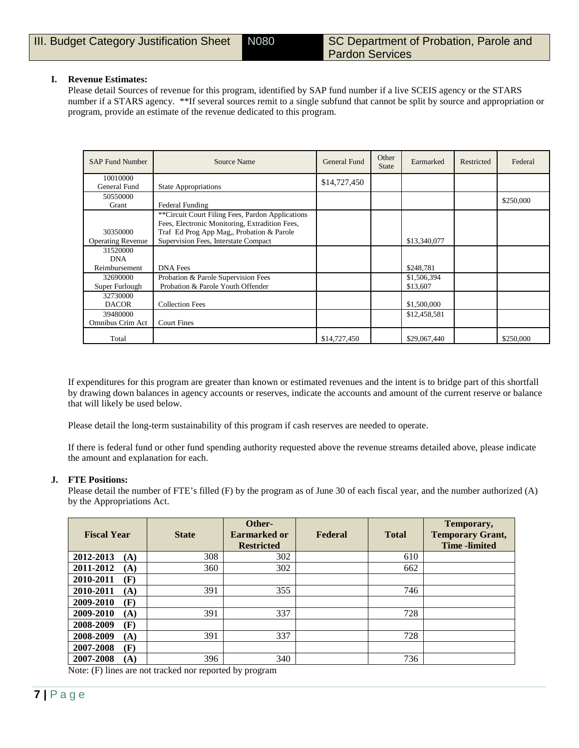## **I. Revenue Estimates:**

Please detail Sources of revenue for this program, identified by SAP fund number if a live SCEIS agency or the STARS number if a STARS agency. \*\*If several sources remit to a single subfund that cannot be split by source and appropriation or program, provide an estimate of the revenue dedicated to this program.

| <b>SAP Fund Number</b>   | Source Name                                      | General Fund | Other<br><b>State</b> | Earmarked    | Restricted | Federal   |
|--------------------------|--------------------------------------------------|--------------|-----------------------|--------------|------------|-----------|
| 10010000                 |                                                  | \$14,727,450 |                       |              |            |           |
| General Fund             | <b>State Appropriations</b>                      |              |                       |              |            |           |
| 50550000                 |                                                  |              |                       |              |            | \$250,000 |
| Grant                    | Federal Funding                                  |              |                       |              |            |           |
|                          | **Circuit Court Filing Fees, Pardon Applications |              |                       |              |            |           |
|                          | Fees, Electronic Monitoring, Extradition Fees,   |              |                       |              |            |           |
| 30350000                 | Traf Ed Prog App Mag,, Probation & Parole        |              |                       |              |            |           |
| <b>Operating Revenue</b> | Supervision Fees, Interstate Compact             |              |                       | \$13,340,077 |            |           |
| 31520000                 |                                                  |              |                       |              |            |           |
| <b>DNA</b>               |                                                  |              |                       |              |            |           |
| Reimbursement            | <b>DNA</b> Fees                                  |              |                       | \$248,781    |            |           |
| 32690000                 | Probation & Parole Supervision Fees              |              |                       | \$1,506,394  |            |           |
| Super Furlough           | Probation & Parole Youth Offender                |              |                       | \$13,607     |            |           |
| 32730000                 |                                                  |              |                       |              |            |           |
| <b>DACOR</b>             | <b>Collection Fees</b>                           |              |                       | \$1,500,000  |            |           |
| 39480000                 |                                                  |              |                       | \$12,458,581 |            |           |
| Omnibus Crim Act         | <b>Court Fines</b>                               |              |                       |              |            |           |
| Total                    |                                                  | \$14,727,450 |                       | \$29,067,440 |            | \$250,000 |

If expenditures for this program are greater than known or estimated revenues and the intent is to bridge part of this shortfall by drawing down balances in agency accounts or reserves, indicate the accounts and amount of the current reserve or balance that will likely be used below.

Please detail the long-term sustainability of this program if cash reserves are needed to operate.

If there is federal fund or other fund spending authority requested above the revenue streams detailed above, please indicate the amount and explanation for each.

#### **J. FTE Positions:**

Please detail the number of FTE's filled (F) by the program as of June 30 of each fiscal year, and the number authorized (A) by the Appropriations Act.

| <b>Fiscal Year</b> | <b>State</b>         | Other-<br><b>Earmarked or</b><br><b>Restricted</b> | Federal | <b>Total</b> | Temporary,<br><b>Temporary Grant,</b><br><b>Time</b> -limited |
|--------------------|----------------------|----------------------------------------------------|---------|--------------|---------------------------------------------------------------|
| 2012-2013<br>(A)   | 308                  | 302                                                |         | 610          |                                                               |
| 2011-2012<br>(A)   | 360                  | 302                                                |         | 662          |                                                               |
| 2010-2011<br>(F)   |                      |                                                    |         |              |                                                               |
| 2010-2011<br>(A)   | 391                  | 355                                                |         | 746          |                                                               |
| 2009-2010<br>(F)   |                      |                                                    |         |              |                                                               |
| 2009-2010<br>(A)   | 391                  | 337                                                |         | 728          |                                                               |
| (F)<br>2008-2009   |                      |                                                    |         |              |                                                               |
| 2008-2009<br>(A)   | 391                  | 337                                                |         | 728          |                                                               |
| (F)<br>2007-2008   |                      |                                                    |         |              |                                                               |
| 2007-2008<br>(A)   | 396<br>$\sim$ $\sim$ | 340                                                |         | 736          |                                                               |

Note: (F) lines are not tracked nor reported by program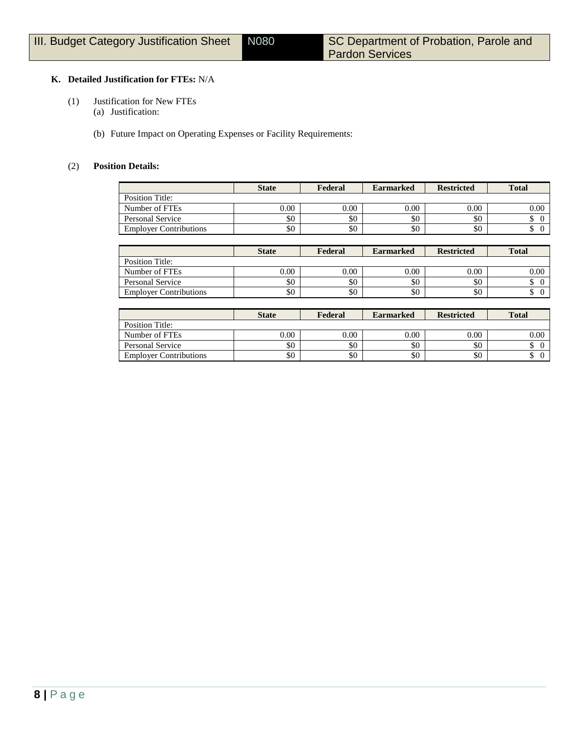## **K. Detailed Justification for FTEs:** N/A

- (1) Justification for New FTEs
	- (a) Justification:
	- (b) Future Impact on Operating Expenses or Facility Requirements:

## (2) **Position Details:**

|                               | <b>State</b> | Federal | <b>Earmarked</b> | <b>Restricted</b> | <b>Total</b> |
|-------------------------------|--------------|---------|------------------|-------------------|--------------|
| Position Title:               |              |         |                  |                   |              |
| Number of FTEs                | 0.00         | 0.00    | 0.00             | 0.00              | 0.00         |
| Personal Service              | \$0          | \$0     | \$0              | \$0               |              |
| <b>Employer Contributions</b> | \$0          | \$0     | \$0              | \$0               |              |

|                               | <b>State</b> | Federal | <b>Earmarked</b> | <b>Restricted</b> | <b>Total</b> |
|-------------------------------|--------------|---------|------------------|-------------------|--------------|
| Position Title:               |              |         |                  |                   |              |
| Number of FTEs                | 0.00         | 0.00    | 0.00             | 0.00              | 0.00         |
| Personal Service              | \$0          | \$0     | \$0              | \$0               | Φ            |
| <b>Employer Contributions</b> | \$0          | \$0     | \$0              | \$0               | Φ            |

|                               | <b>State</b> | Federal | <b>Earmarked</b> | <b>Restricted</b> | <b>Total</b> |
|-------------------------------|--------------|---------|------------------|-------------------|--------------|
| Position Title:               |              |         |                  |                   |              |
| Number of FTEs                | 0.00         | 0.00    | 0.00             | 0.00              | $0.00\,$     |
| Personal Service              | \$0          | \$0     | \$0              | \$0               | ٠D           |
| <b>Employer Contributions</b> | \$0          | \$0     | \$0              | \$0               | Φ            |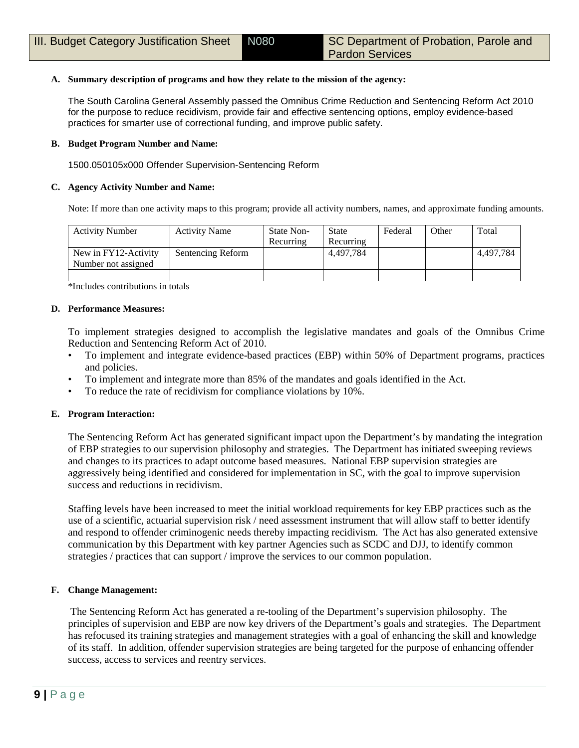## **A. Summary description of programs and how they relate to the mission of the agency:**

The South Carolina General Assembly passed the Omnibus Crime Reduction and Sentencing Reform Act 2010 for the purpose to reduce recidivism, provide fair and effective sentencing options, employ evidence-based practices for smarter use of correctional funding, and improve public safety.

## **B. Budget Program Number and Name:**

1500.050105x000 Offender Supervision-Sentencing Reform

## **C. Agency Activity Number and Name:**

Note: If more than one activity maps to this program; provide all activity numbers, names, and approximate funding amounts.

| <b>Activity Number</b> | <b>Activity Name</b> | State Non- | State     | Federal | Other | Total     |
|------------------------|----------------------|------------|-----------|---------|-------|-----------|
|                        |                      | Recurring  | Recurring |         |       |           |
| New in FY12-Activity   | Sentencing Reform    |            | 4.497.784 |         |       | 4.497.784 |
| Number not assigned    |                      |            |           |         |       |           |
|                        |                      |            |           |         |       |           |

\*Includes contributions in totals

## **D. Performance Measures:**

To implement strategies designed to accomplish the legislative mandates and goals of the Omnibus Crime Reduction and Sentencing Reform Act of 2010.

- To implement and integrate evidence-based practices (EBP) within 50% of Department programs, practices and policies.
- To implement and integrate more than 85% of the mandates and goals identified in the Act.
- To reduce the rate of recidivism for compliance violations by 10%.

## **E. Program Interaction:**

The Sentencing Reform Act has generated significant impact upon the Department's by mandating the integration of EBP strategies to our supervision philosophy and strategies. The Department has initiated sweeping reviews and changes to its practices to adapt outcome based measures. National EBP supervision strategies are aggressively being identified and considered for implementation in SC, with the goal to improve supervision success and reductions in recidivism.

Staffing levels have been increased to meet the initial workload requirements for key EBP practices such as the use of a scientific, actuarial supervision risk / need assessment instrument that will allow staff to better identify and respond to offender criminogenic needs thereby impacting recidivism. The Act has also generated extensive communication by this Department with key partner Agencies such as SCDC and DJJ, to identify common strategies / practices that can support / improve the services to our common population.

## **F. Change Management:**

The Sentencing Reform Act has generated a re-tooling of the Department's supervision philosophy. The principles of supervision and EBP are now key drivers of the Department's goals and strategies. The Department has refocused its training strategies and management strategies with a goal of enhancing the skill and knowledge of its staff. In addition, offender supervision strategies are being targeted for the purpose of enhancing offender success, access to services and reentry services.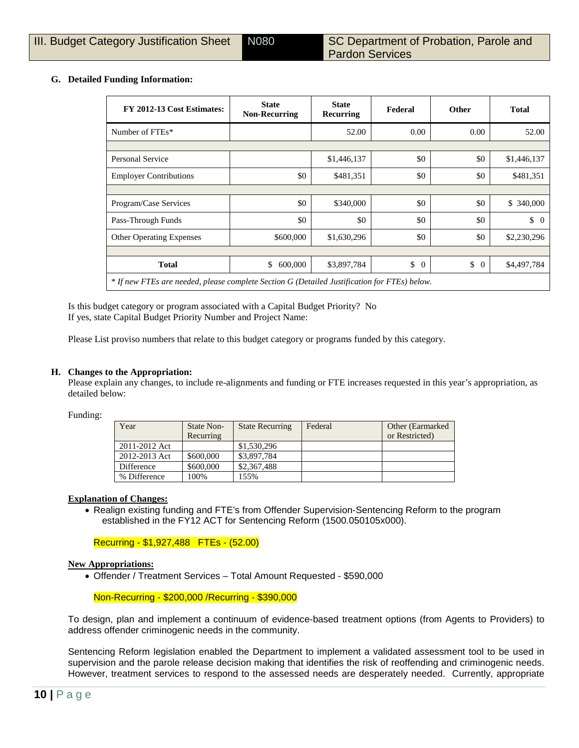## **G. Detailed Funding Information:**

| FY 2012-13 Cost Estimates:                                                                   | <b>State</b><br><b>Non-Recurring</b> | <b>State</b><br>Recurring | Federal        | <b>Other</b>         | <b>Total</b>     |
|----------------------------------------------------------------------------------------------|--------------------------------------|---------------------------|----------------|----------------------|------------------|
| Number of FTEs*                                                                              |                                      | 52.00                     | 0.00           | 0.00                 | 52.00            |
|                                                                                              |                                      |                           |                |                      |                  |
| Personal Service                                                                             |                                      | \$1,446,137               | \$0            | \$0                  | \$1,446,137      |
| <b>Employer Contributions</b>                                                                | \$0                                  | \$481,351                 | \$0            | \$0                  | \$481,351        |
|                                                                                              |                                      |                           |                |                      |                  |
| Program/Case Services                                                                        | \$0                                  | \$340,000                 | \$0            | \$0                  | \$ 340,000       |
| Pass-Through Funds                                                                           | \$0                                  | \$0                       | \$0            | \$0                  | $\updownarrow$ 0 |
| <b>Other Operating Expenses</b>                                                              | \$600,000                            | \$1,630,296               | \$0            | \$0                  | \$2,230,296      |
|                                                                                              |                                      |                           |                |                      |                  |
| <b>Total</b>                                                                                 | \$<br>600,000                        | \$3,897,784               | \$<br>$\theta$ | \$<br>$\overline{0}$ | \$4,497,784      |
| * If new FTEs are needed, please complete Section G (Detailed Justification for FTEs) below. |                                      |                           |                |                      |                  |

Is this budget category or program associated with a Capital Budget Priority? No If yes, state Capital Budget Priority Number and Project Name:

Please List proviso numbers that relate to this budget category or programs funded by this category.

### **H. Changes to the Appropriation:**

Please explain any changes, to include re-alignments and funding or FTE increases requested in this year's appropriation, as detailed below:

Funding:

| Year          | State Non-<br>Recurring | <b>State Recurring</b> | Federal | Other (Earmarked)<br>or Restricted) |
|---------------|-------------------------|------------------------|---------|-------------------------------------|
| 2011-2012 Act |                         | \$1,530,296            |         |                                     |
| 2012-2013 Act | \$600,000               | \$3,897,784            |         |                                     |
| Difference    | \$600,000               | \$2,367,488            |         |                                     |
| % Difference  | 100%                    | 155%                   |         |                                     |

#### **Explanation of Changes:**

• Realign existing funding and FTE's from Offender Supervision-Sentencing Reform to the program established in the FY12 ACT for Sentencing Reform (1500.050105x000).

## Recurring - \$1,927,488 FTEs - (52.00)

#### **New Appropriations:**

• Offender / Treatment Services – Total Amount Requested - \$590,000

## Non-Recurring - \$200,000 /Recurring - \$390,000

To design, plan and implement a continuum of evidence-based treatment options (from Agents to Providers) to address offender criminogenic needs in the community.

Sentencing Reform legislation enabled the Department to implement a validated assessment tool to be used in supervision and the parole release decision making that identifies the risk of reoffending and criminogenic needs. However, treatment services to respond to the assessed needs are desperately needed. Currently, appropriate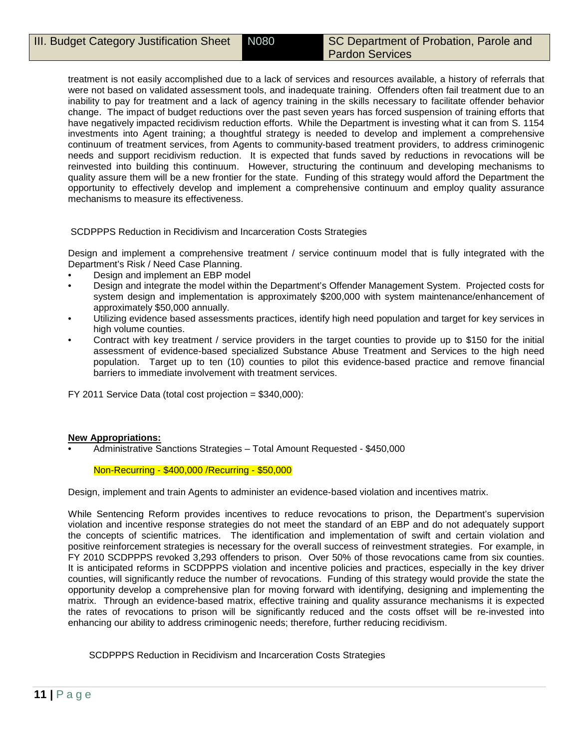treatment is not easily accomplished due to a lack of services and resources available, a history of referrals that were not based on validated assessment tools, and inadequate training. Offenders often fail treatment due to an inability to pay for treatment and a lack of agency training in the skills necessary to facilitate offender behavior change. The impact of budget reductions over the past seven years has forced suspension of training efforts that have negatively impacted recidivism reduction efforts. While the Department is investing what it can from S. 1154 investments into Agent training; a thoughtful strategy is needed to develop and implement a comprehensive continuum of treatment services, from Agents to community-based treatment providers, to address criminogenic needs and support recidivism reduction. It is expected that funds saved by reductions in revocations will be reinvested into building this continuum. However, structuring the continuum and developing mechanisms to quality assure them will be a new frontier for the state. Funding of this strategy would afford the Department the opportunity to effectively develop and implement a comprehensive continuum and employ quality assurance mechanisms to measure its effectiveness.

SCDPPPS Reduction in Recidivism and Incarceration Costs Strategies

Design and implement a comprehensive treatment / service continuum model that is fully integrated with the Department's Risk / Need Case Planning.

- Design and implement an EBP model
- Design and integrate the model within the Department's Offender Management System. Projected costs for system design and implementation is approximately \$200,000 with system maintenance/enhancement of approximately \$50,000 annually.
- Utilizing evidence based assessments practices, identify high need population and target for key services in high volume counties.
- Contract with key treatment / service providers in the target counties to provide up to \$150 for the initial assessment of evidence-based specialized Substance Abuse Treatment and Services to the high need population. Target up to ten (10) counties to pilot this evidence-based practice and remove financial barriers to immediate involvement with treatment services.

FY 2011 Service Data (total cost projection = \$340,000):

## **New Appropriations:**

• Administrative Sanctions Strategies – Total Amount Requested - \$450,000

## Non-Recurring - \$400,000 /Recurring - \$50,000

Design, implement and train Agents to administer an evidence-based violation and incentives matrix.

While Sentencing Reform provides incentives to reduce revocations to prison, the Department's supervision violation and incentive response strategies do not meet the standard of an EBP and do not adequately support the concepts of scientific matrices. The identification and implementation of swift and certain violation and positive reinforcement strategies is necessary for the overall success of reinvestment strategies. For example, in FY 2010 SCDPPPS revoked 3,293 offenders to prison. Over 50% of those revocations came from six counties. It is anticipated reforms in SCDPPPS violation and incentive policies and practices, especially in the key driver counties, will significantly reduce the number of revocations. Funding of this strategy would provide the state the opportunity develop a comprehensive plan for moving forward with identifying, designing and implementing the matrix. Through an evidence-based matrix, effective training and quality assurance mechanisms it is expected the rates of revocations to prison will be significantly reduced and the costs offset will be re-invested into enhancing our ability to address criminogenic needs; therefore, further reducing recidivism.

SCDPPPS Reduction in Recidivism and Incarceration Costs Strategies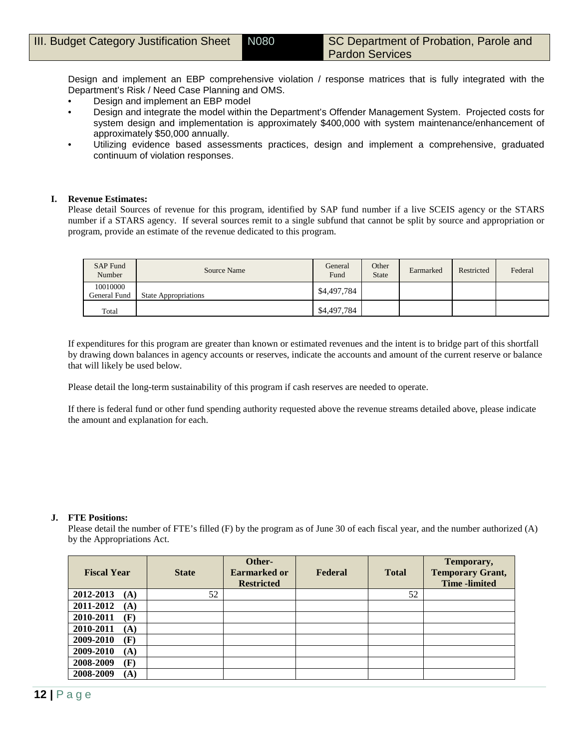Design and implement an EBP comprehensive violation / response matrices that is fully integrated with the Department's Risk / Need Case Planning and OMS.

- Design and implement an EBP model
- Design and integrate the model within the Department's Offender Management System. Projected costs for system design and implementation is approximately \$400,000 with system maintenance/enhancement of approximately \$50,000 annually.
- Utilizing evidence based assessments practices, design and implement a comprehensive, graduated continuum of violation responses.

#### **I. Revenue Estimates:**

Please detail Sources of revenue for this program, identified by SAP fund number if a live SCEIS agency or the STARS number if a STARS agency. If several sources remit to a single subfund that cannot be split by source and appropriation or program, provide an estimate of the revenue dedicated to this program.

| SAP Fund<br>Number       | Source Name                 | General<br>Fund | Other<br><b>State</b> | Earmarked | Restricted | Federal |
|--------------------------|-----------------------------|-----------------|-----------------------|-----------|------------|---------|
| 10010000<br>General Fund | <b>State Appropriations</b> | \$4,497,784     |                       |           |            |         |
| Total                    |                             | \$4,497,784     |                       |           |            |         |

If expenditures for this program are greater than known or estimated revenues and the intent is to bridge part of this shortfall by drawing down balances in agency accounts or reserves, indicate the accounts and amount of the current reserve or balance that will likely be used below.

Please detail the long-term sustainability of this program if cash reserves are needed to operate.

If there is federal fund or other fund spending authority requested above the revenue streams detailed above, please indicate the amount and explanation for each.

## **J. FTE Positions:**

Please detail the number of FTE's filled (F) by the program as of June 30 of each fiscal year, and the number authorized (A) by the Appropriations Act.

| <b>Fiscal Year</b> | <b>State</b> | Other-<br><b>Earmarked or</b><br><b>Restricted</b> | Federal | <b>Total</b> | Temporary,<br><b>Temporary Grant,</b><br><b>Time</b> -limited |
|--------------------|--------------|----------------------------------------------------|---------|--------------|---------------------------------------------------------------|
| 2012-2013<br>(A)   | 52           |                                                    |         | 52           |                                                               |
| 2011-2012<br>(A)   |              |                                                    |         |              |                                                               |
| 2010-2011<br>(F)   |              |                                                    |         |              |                                                               |
| 2010-2011<br>(A)   |              |                                                    |         |              |                                                               |
| 2009-2010<br>(F)   |              |                                                    |         |              |                                                               |
| 2009-2010<br>(A)   |              |                                                    |         |              |                                                               |
| 2008-2009<br>(F)   |              |                                                    |         |              |                                                               |
| 2008-2009<br>(A)   |              |                                                    |         |              |                                                               |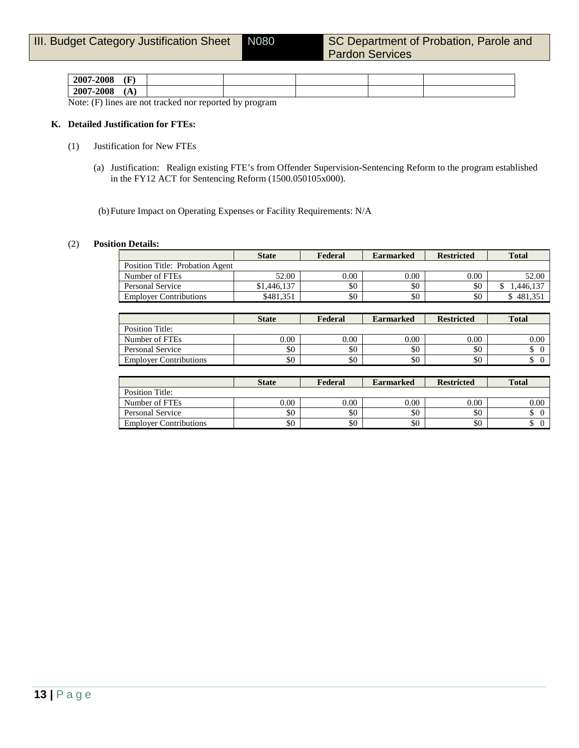| 2007-2008 | (F<br>. . |  |  |  |
|-----------|-----------|--|--|--|
| 2007-2008 | (A)       |  |  |  |

Note: (F) lines are not tracked nor reported by program

## **K. Detailed Justification for FTEs:**

- (1) Justification for New FTEs
	- (a) Justification: Realign existing FTE's from Offender Supervision-Sentencing Reform to the program established in the FY12 ACT for Sentencing Reform (1500.050105x000).

(b)Future Impact on Operating Expenses or Facility Requirements: N/A

#### (2) **Position Details:**

|                                 | <b>State</b> | Federal  | <b>Earmarked</b> | <b>Restricted</b> | <b>Total</b> |
|---------------------------------|--------------|----------|------------------|-------------------|--------------|
| Position Title: Probation Agent |              |          |                  |                   |              |
| Number of FTEs                  | 52.00        | $0.00\,$ | $0.00\,$         | 0.00              | 52.00        |
| Personal Service                | \$1,446,137  | \$0      | \$0              | \$0               | .446.137     |
| <b>Employer Contributions</b>   | \$481.351    | \$0      | \$0              | \$0               | 481.35       |

|                               | <b>State</b> | Federal  | <b>Earmarked</b> | <b>Restricted</b> | <b>Total</b> |
|-------------------------------|--------------|----------|------------------|-------------------|--------------|
| Position Title:               |              |          |                  |                   |              |
| Number of FTEs                | 0.00         | $0.00\,$ | 0.00             | 0.00              | $0.00\,$     |
| Personal Service              | \$0          | \$0      | \$0              | \$0               |              |
| <b>Employer Contributions</b> | \$0          | \$0      | \$0              | \$0               |              |

|                               | <b>State</b> | Federal | <b>Earmarked</b> | <b>Restricted</b> | <b>Total</b> |
|-------------------------------|--------------|---------|------------------|-------------------|--------------|
| Position Title:               |              |         |                  |                   |              |
| Number of FTEs                | $0.00\,$     | 0.00    | 0.00             | 0.00              | 0.00         |
| Personal Service              | \$0          | \$0     | \$0              | \$0               |              |
| <b>Employer Contributions</b> | \$0          | \$0     | \$0              | \$0               |              |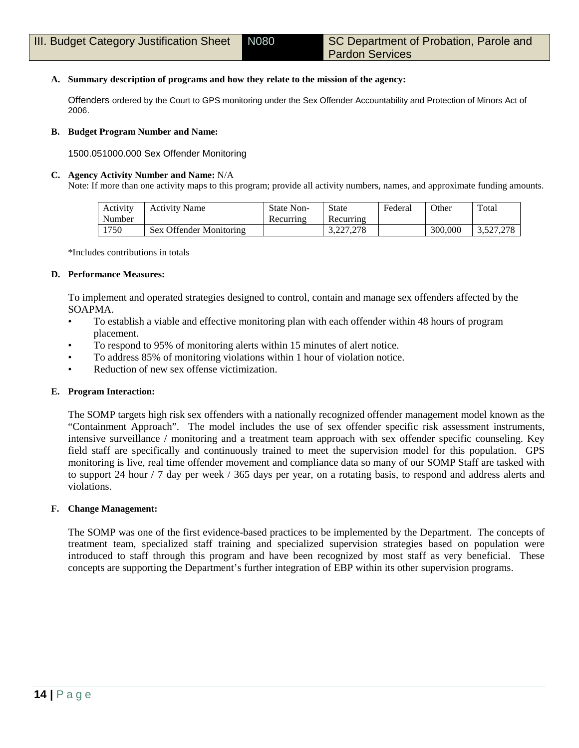## **A. Summary description of programs and how they relate to the mission of the agency:**

Offenders ordered by the Court to GPS monitoring under the Sex Offender Accountability and Protection of Minors Act of 2006.

#### **B. Budget Program Number and Name:**

1500.051000.000 Sex Offender Monitoring

#### **C. Agency Activity Number and Name:** N/A

Note: If more than one activity maps to this program; provide all activity numbers, names, and approximate funding amounts.

| Activity | <b>Activity Name</b>    | State Non- | State     | Federal | Other   | Total     |
|----------|-------------------------|------------|-----------|---------|---------|-----------|
| Number   |                         | Recurring  | Recurring |         |         |           |
| 1750     | Sex Offender Monitoring |            | 3.227.278 |         | 300,000 | 3.527.278 |

\*Includes contributions in totals

#### **D. Performance Measures:**

To implement and operated strategies designed to control, contain and manage sex offenders affected by the SOAPMA.

- To establish a viable and effective monitoring plan with each offender within 48 hours of program placement.
- To respond to 95% of monitoring alerts within 15 minutes of alert notice.
- To address 85% of monitoring violations within 1 hour of violation notice.
- Reduction of new sex offense victimization.

## **E. Program Interaction:**

The SOMP targets high risk sex offenders with a nationally recognized offender management model known as the "Containment Approach". The model includes the use of sex offender specific risk assessment instruments, intensive surveillance / monitoring and a treatment team approach with sex offender specific counseling. Key field staff are specifically and continuously trained to meet the supervision model for this population. GPS monitoring is live, real time offender movement and compliance data so many of our SOMP Staff are tasked with to support 24 hour / 7 day per week / 365 days per year, on a rotating basis, to respond and address alerts and violations.

## **F. Change Management:**

The SOMP was one of the first evidence-based practices to be implemented by the Department. The concepts of treatment team, specialized staff training and specialized supervision strategies based on population were introduced to staff through this program and have been recognized by most staff as very beneficial. These concepts are supporting the Department's further integration of EBP within its other supervision programs.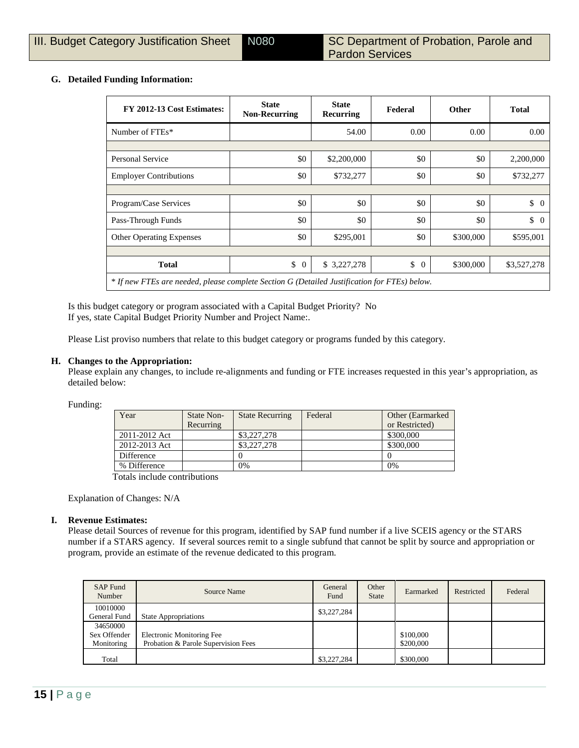## **G. Detailed Funding Information:**

| FY 2012-13 Cost Estimates:                                                                   | <b>State</b><br><b>Non-Recurring</b> | <b>State</b><br>Recurring | Federal              | Other     | <b>Total</b>     |
|----------------------------------------------------------------------------------------------|--------------------------------------|---------------------------|----------------------|-----------|------------------|
| Number of FTEs*                                                                              |                                      | 54.00                     | 0.00                 | 0.00      | 0.00             |
|                                                                                              |                                      |                           |                      |           |                  |
| Personal Service                                                                             | \$0                                  | \$2,200,000               | \$0                  | \$0       | 2,200,000        |
| <b>Employer Contributions</b>                                                                | \$0                                  | \$732,277                 | \$0                  | \$0       | \$732,277        |
|                                                                                              |                                      |                           |                      |           |                  |
| Program/Case Services                                                                        | \$0                                  | \$0                       | \$0                  | \$0       | $\updownarrow$ 0 |
| Pass-Through Funds                                                                           | \$0                                  | \$0                       | \$0                  | \$0       | $\updownarrow$ 0 |
| Other Operating Expenses                                                                     | \$0                                  | \$295,001                 | \$0                  | \$300,000 | \$595,001        |
|                                                                                              |                                      |                           |                      |           |                  |
| <b>Total</b>                                                                                 | \$<br>$\overline{0}$                 | \$3,227,278               | \$<br>$\overline{0}$ | \$300,000 | \$3,527,278      |
| * If new FTEs are needed, please complete Section G (Detailed Justification for FTEs) below. |                                      |                           |                      |           |                  |

Is this budget category or program associated with a Capital Budget Priority? No If yes, state Capital Budget Priority Number and Project Name:.

Please List proviso numbers that relate to this budget category or programs funded by this category.

#### **H. Changes to the Appropriation:**

Please explain any changes, to include re-alignments and funding or FTE increases requested in this year's appropriation, as detailed below:

Funding:

| Year          | State Non-<br>Recurring | <b>State Recurring</b> | Federal | Other (Earmarked)<br>or Restricted) |
|---------------|-------------------------|------------------------|---------|-------------------------------------|
| 2011-2012 Act |                         | \$3,227,278            |         | \$300,000                           |
| 2012-2013 Act |                         | \$3,227,278            |         | \$300,000                           |
| Difference    |                         |                        |         |                                     |
| % Difference  |                         | 0%                     |         | 0%                                  |

Totals include contributions

Explanation of Changes: N/A

#### **I. Revenue Estimates:**

Please detail Sources of revenue for this program, identified by SAP fund number if a live SCEIS agency or the STARS number if a STARS agency. If several sources remit to a single subfund that cannot be split by source and appropriation or program, provide an estimate of the revenue dedicated to this program.

| <b>SAP Fund</b><br>Number              | Source Name                                                             | General<br>Fund | Other<br><b>State</b> | Earmarked              | Restricted | Federal |
|----------------------------------------|-------------------------------------------------------------------------|-----------------|-----------------------|------------------------|------------|---------|
| 10010000<br>General Fund               | <b>State Appropriations</b>                                             | \$3,227,284     |                       |                        |            |         |
| 34650000<br>Sex Offender<br>Monitoring | <b>Electronic Monitoring Fee</b><br>Probation & Parole Supervision Fees |                 |                       | \$100,000<br>\$200,000 |            |         |
| Total                                  |                                                                         | \$3,227,284     |                       | \$300,000              |            |         |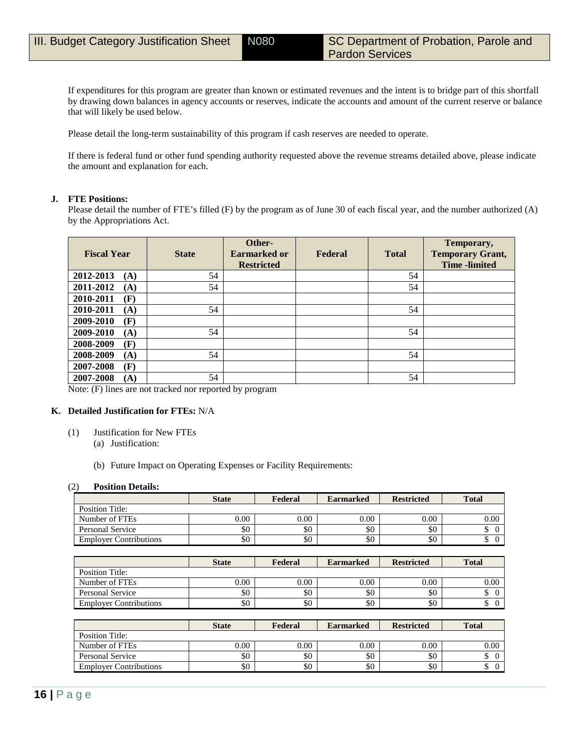If expenditures for this program are greater than known or estimated revenues and the intent is to bridge part of this shortfall by drawing down balances in agency accounts or reserves, indicate the accounts and amount of the current reserve or balance that will likely be used below.

Please detail the long-term sustainability of this program if cash reserves are needed to operate.

If there is federal fund or other fund spending authority requested above the revenue streams detailed above, please indicate the amount and explanation for each.

#### **J. FTE Positions:**

Please detail the number of FTE's filled (F) by the program as of June 30 of each fiscal year, and the number authorized (A) by the Appropriations Act.

| <b>Fiscal Year</b> | <b>State</b> | Other-<br><b>Earmarked or</b><br><b>Restricted</b> | Federal | <b>Total</b> | Temporary,<br><b>Temporary Grant,</b><br><b>Time</b> -limited |
|--------------------|--------------|----------------------------------------------------|---------|--------------|---------------------------------------------------------------|
| 2012-2013<br>(A)   | 54           |                                                    |         | 54           |                                                               |
| 2011-2012<br>(A)   | 54           |                                                    |         | 54           |                                                               |
| 2010-2011<br>(F)   |              |                                                    |         |              |                                                               |
| 2010-2011<br>(A)   | 54           |                                                    |         | 54           |                                                               |
| 2009-2010<br>(F)   |              |                                                    |         |              |                                                               |
| 2009-2010<br>(A)   | 54           |                                                    |         | 54           |                                                               |
| (F)<br>2008-2009   |              |                                                    |         |              |                                                               |
| 2008-2009<br>(A)   | 54           |                                                    |         | 54           |                                                               |
| (F)<br>2007-2008   |              |                                                    |         |              |                                                               |
| 2007-2008<br>(A)   | 54           |                                                    |         | 54           |                                                               |

Note: (F) lines are not tracked nor reported by program

#### **K. Detailed Justification for FTEs:** N/A

- (1) Justification for New FTEs
	- (a) Justification:
	- (b) Future Impact on Operating Expenses or Facility Requirements:

#### (2) **Position Details:**

|                               | <b>State</b> | Federal | <b>Earmarked</b> | <b>Restricted</b> | <b>Total</b>         |
|-------------------------------|--------------|---------|------------------|-------------------|----------------------|
| <b>Position Title:</b>        |              |         |                  |                   |                      |
| Number of FTEs                | 0.00         | 0.00    | 0.00             | 0.00              | 0.00                 |
| <b>Personal Service</b>       | \$0          | \$0     | \$0              | \$0               | \$<br>$\overline{0}$ |
| <b>Employer Contributions</b> | \$0          | \$0     | \$0              | \$0               | \$<br>$\overline{0}$ |
|                               |              |         |                  |                   |                      |
|                               | <b>State</b> | Federal | <b>Earmarked</b> | <b>Restricted</b> | <b>Total</b>         |
| <b>Position Title:</b>        |              |         |                  |                   |                      |
| Number of FTEs                | 0.00         | 0.00    | 0.00             | 0.00              | 0.00                 |
| <b>Personal Service</b>       | \$0          | \$0     | \$0              | \$0               | \$<br>$\overline{0}$ |
| <b>Employer Contributions</b> | \$0          | \$0     | \$0              | \$0               | \$<br>$\overline{0}$ |
|                               |              |         |                  |                   |                      |
|                               | <b>State</b> | Federal | <b>Earmarked</b> | <b>Restricted</b> | <b>Total</b>         |
| <b>Position Title:</b>        |              |         |                  |                   |                      |
| Number of FTEs                | 0.00         | 0.00    | 0.00             | 0.00              | 0.00                 |
| <b>Personal Service</b>       | \$0          | \$0     | \$0              | \$0               | \$<br>$\theta$       |

Employer Contributions  $\begin{vmatrix} 80 \end{vmatrix}$   $\begin{vmatrix} 80 \end{vmatrix}$   $\begin{vmatrix} 80 \end{vmatrix}$   $\begin{vmatrix} 80 \end{vmatrix}$   $\begin{vmatrix} 80 \end{vmatrix}$   $\begin{vmatrix} 80 \end{vmatrix}$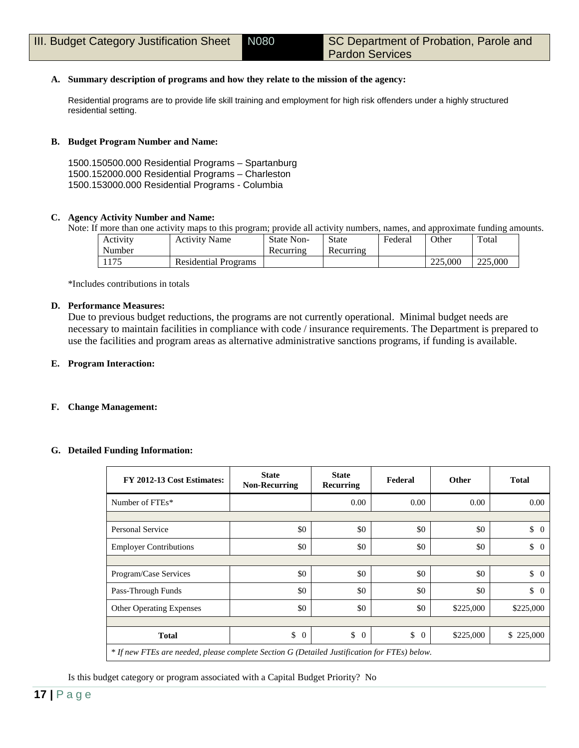## **A. Summary description of programs and how they relate to the mission of the agency:**

Residential programs are to provide life skill training and employment for high risk offenders under a highly structured residential setting.

### **B. Budget Program Number and Name:**

1500.150500.000 Residential Programs – Spartanburg 1500.152000.000 Residential Programs – Charleston 1500.153000.000 Residential Programs - Columbia

## **C. Agency Activity Number and Name:**

Note: If more than one activity maps to this program; provide all activity numbers, names, and approximate funding amounts.

| Activity | <b>Activity Name</b>        | State Non- | <b>State</b> | Federai | $\Omega$ ther | Total   |
|----------|-----------------------------|------------|--------------|---------|---------------|---------|
| Number   |                             | Recurring  | Recurring    |         |               |         |
| 1175     | <b>Residential Programs</b> |            |              |         | 225,000       | 225,000 |

\*Includes contributions in totals

### **D. Performance Measures:**

Due to previous budget reductions, the programs are not currently operational. Minimal budget needs are necessary to maintain facilities in compliance with code / insurance requirements. The Department is prepared to use the facilities and program areas as alternative administrative sanctions programs, if funding is available.

#### **E. Program Interaction:**

#### **F. Change Management:**

#### **G. Detailed Funding Information:**

| FY 2012-13 Cost Estimates:                                                                   | <b>State</b><br><b>Non-Recurring</b> | <b>State</b><br>Recurring | Federal              | <b>Other</b> | <b>Total</b>         |
|----------------------------------------------------------------------------------------------|--------------------------------------|---------------------------|----------------------|--------------|----------------------|
| Number of FTEs*                                                                              |                                      | 0.00                      | 0.00                 | 0.00         | 0.00                 |
|                                                                                              |                                      |                           |                      |              |                      |
| <b>Personal Service</b>                                                                      | \$0                                  | \$0                       | \$0                  | \$0          | \$<br>$\overline{0}$ |
| <b>Employer Contributions</b>                                                                | \$0                                  | \$0                       | \$0                  | \$0          | \$<br>$\Omega$       |
|                                                                                              |                                      |                           |                      |              |                      |
| Program/Case Services                                                                        | \$0                                  | \$0                       | \$0                  | \$0          | $\updownarrow$ 0     |
| Pass-Through Funds                                                                           | \$0                                  | \$0                       | \$0                  | \$0          | \$<br>$\Omega$       |
| <b>Other Operating Expenses</b>                                                              | \$0                                  | \$0                       | \$0                  | \$225,000    | \$225,000            |
|                                                                                              |                                      |                           |                      |              |                      |
| <b>Total</b>                                                                                 | \$<br>$\overline{0}$                 | \$<br>$\overline{0}$      | \$<br>$\overline{0}$ | \$225,000    | \$ 225,000           |
| * If new FTEs are needed, please complete Section G (Detailed Justification for FTEs) below. |                                      |                           |                      |              |                      |

Is this budget category or program associated with a Capital Budget Priority? No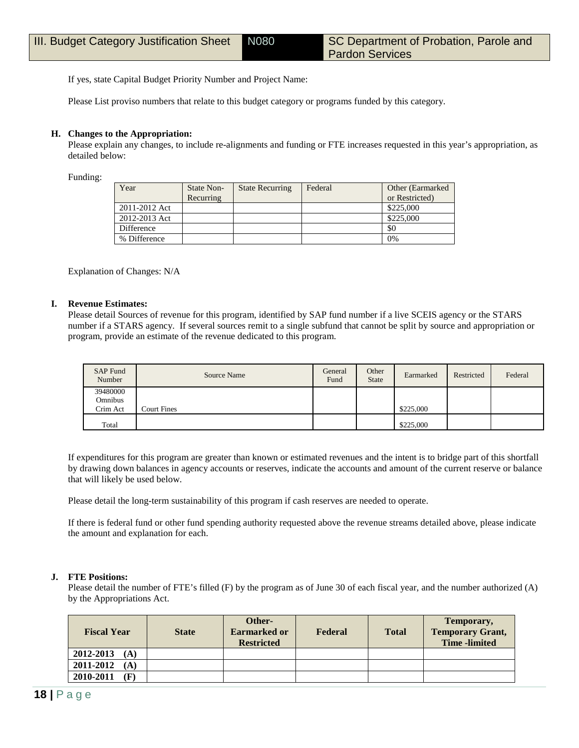If yes, state Capital Budget Priority Number and Project Name:

Please List proviso numbers that relate to this budget category or programs funded by this category.

### **H. Changes to the Appropriation:**

Please explain any changes, to include re-alignments and funding or FTE increases requested in this year's appropriation, as detailed below:

Funding:

| Year          | State Non-<br>Recurring | <b>State Recurring</b> | Federal | Other (Earmarked)<br>or Restricted) |
|---------------|-------------------------|------------------------|---------|-------------------------------------|
| 2011-2012 Act |                         |                        |         | \$225,000                           |
| 2012-2013 Act |                         |                        |         | \$225,000                           |
| Difference    |                         |                        |         | \$0                                 |
| % Difference  |                         |                        |         | 0%                                  |

Explanation of Changes: N/A

#### **I. Revenue Estimates:**

Please detail Sources of revenue for this program, identified by SAP fund number if a live SCEIS agency or the STARS number if a STARS agency. If several sources remit to a single subfund that cannot be split by source and appropriation or program, provide an estimate of the revenue dedicated to this program.

| SAP Fund<br>Number              | Source Name        | General<br>Fund | Other<br><b>State</b> | Earmarked | Restricted | Federal |
|---------------------------------|--------------------|-----------------|-----------------------|-----------|------------|---------|
| 39480000<br>Omnibus<br>Crim Act | <b>Court Fines</b> |                 |                       | \$225,000 |            |         |
| Total                           |                    |                 |                       | \$225,000 |            |         |

If expenditures for this program are greater than known or estimated revenues and the intent is to bridge part of this shortfall by drawing down balances in agency accounts or reserves, indicate the accounts and amount of the current reserve or balance that will likely be used below.

Please detail the long-term sustainability of this program if cash reserves are needed to operate.

If there is federal fund or other fund spending authority requested above the revenue streams detailed above, please indicate the amount and explanation for each.

## **J. FTE Positions:**

Please detail the number of FTE's filled (F) by the program as of June 30 of each fiscal year, and the number authorized (A) by the Appropriations Act.

| <b>Fiscal Year</b>      | <b>State</b> | Other-<br>Earmarked or<br><b>Restricted</b> | Federal | <b>Total</b> | Temporary,<br><b>Temporary Grant,</b><br><b>Time</b> -limited |
|-------------------------|--------------|---------------------------------------------|---------|--------------|---------------------------------------------------------------|
| 2012-2013<br>(A)        |              |                                             |         |              |                                                               |
| 2011-2012<br>(A)        |              |                                             |         |              |                                                               |
| 2010-2011<br>$(\bf{F})$ |              |                                             |         |              |                                                               |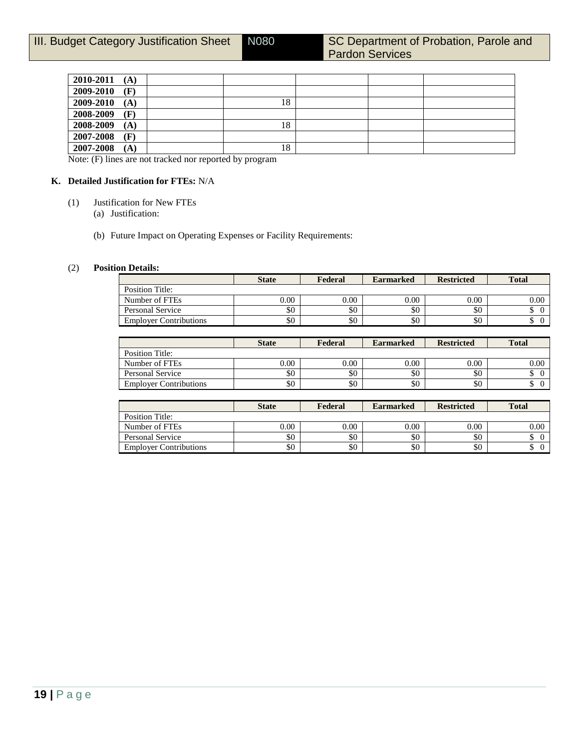| 2010-2011 | (A) |    |  |  |
|-----------|-----|----|--|--|
| 2009-2010 | (F) |    |  |  |
| 2009-2010 | (A) | 18 |  |  |
| 2008-2009 | (F) |    |  |  |
| 2008-2009 | (A) | 18 |  |  |
| 2007-2008 | (F) |    |  |  |
| 2007-2008 | (A) | 18 |  |  |
|           |     |    |  |  |

Note: (F) lines are not tracked nor reported by program

## **K. Detailed Justification for FTEs:** N/A

- (1) Justification for New FTEs
	- (a) Justification:
	- (b) Future Impact on Operating Expenses or Facility Requirements:

### (2) **Position Details:**

|                               | <b>State</b> | Federal  | <b>Earmarked</b> | <b>Restricted</b> | <b>Total</b>    |
|-------------------------------|--------------|----------|------------------|-------------------|-----------------|
| Position Title:               |              |          |                  |                   |                 |
| Number of FTEs                | 0.00         | $0.00\,$ | 0.00             | 0.00              | 0.00            |
| Personal Service              | \$0          | \$0      | \$0              | \$0               | $\sqrt{2}$<br>Φ |
| <b>Employer Contributions</b> | \$0          | \$0      | \$0              | \$0               | Φ               |

|                               | <b>State</b> | Federal | <b>Earmarked</b> | <b>Restricted</b> | <b>Total</b> |
|-------------------------------|--------------|---------|------------------|-------------------|--------------|
| <b>Position Title:</b>        |              |         |                  |                   |              |
| Number of FTEs                | 0.00         | 0.00    | 0.00             | 0.00              | 0.00         |
| Personal Service              | \$0          | \$0     | \$0              | \$0               | J            |
| <b>Employer Contributions</b> | \$0          | \$0     | \$0              | \$0               | ◡            |

|                               | <b>State</b> | Federal | <b>Earmarked</b> | <b>Restricted</b> | <b>Total</b>     |
|-------------------------------|--------------|---------|------------------|-------------------|------------------|
| Position Title:               |              |         |                  |                   |                  |
| Number of FTEs                | 0.00         | 0.00    | 0.00             | 0.00              | 0.00             |
| Personal Service              | \$0          | \$0     | \$0              | \$0               | $\sqrt{ }$<br>J. |
| <b>Employer Contributions</b> | \$0          | \$0     | \$0              | \$0               | $\sim$<br>◡      |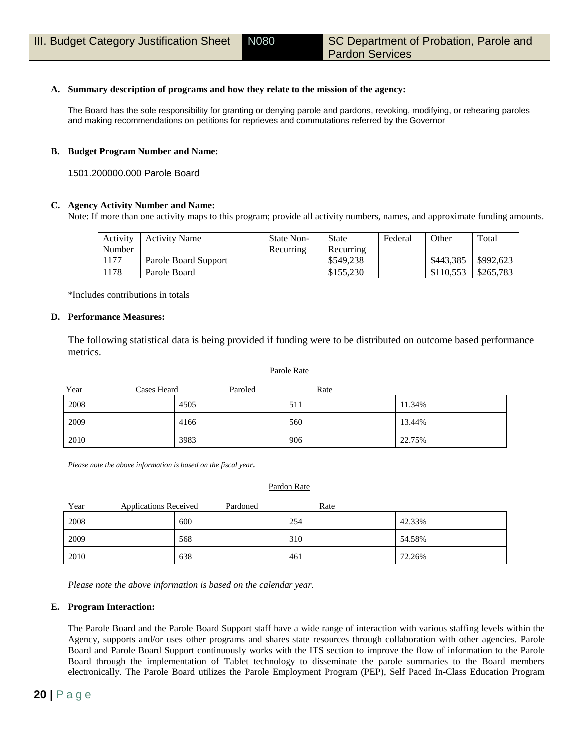### **A. Summary description of programs and how they relate to the mission of the agency:**

The Board has the sole responsibility for granting or denying parole and pardons, revoking, modifying, or rehearing paroles and making recommendations on petitions for reprieves and commutations referred by the Governor

#### **B. Budget Program Number and Name:**

1501.200000.000 Parole Board

#### **C. Agency Activity Number and Name:**

Note: If more than one activity maps to this program; provide all activity numbers, names, and approximate funding amounts.

| Activity | Activity Name        | <b>State Non-</b> | State     | Federal | Other     | Total     |
|----------|----------------------|-------------------|-----------|---------|-----------|-----------|
| Number   |                      | Recurring         | Recurring |         |           |           |
| 1177     | Parole Board Support |                   | \$549.238 |         | \$443.385 | \$992,623 |
| 1178     | Parole Board         |                   | \$155.230 |         | \$110,553 | \$265,783 |

\*Includes contributions in totals

#### **D. Performance Measures:**

The following statistical data is being provided if funding were to be distributed on outcome based performance metrics.

| Year<br>Cases Heard | Paroled | Rate |        |
|---------------------|---------|------|--------|
| 2008                | 4505    | 511  | 11.34% |
| 2009                | 4166    | 560  | 13.44% |
| 2010                | 3983    | 906  | 22.75% |

Parole Rate

*Please note the above information is based on the fiscal year*.

#### Pardon Rate

| Year<br><b>Applications Received</b> |     | Pardoned | Rate |        |
|--------------------------------------|-----|----------|------|--------|
| 2008                                 | 600 |          | 254  | 42.33% |
| 2009                                 | 568 |          | 310  | 54.58% |
| 2010                                 | 638 |          | 461  | 72.26% |

*Please note the above information is based on the calendar year.*

#### **E. Program Interaction:**

The Parole Board and the Parole Board Support staff have a wide range of interaction with various staffing levels within the Agency, supports and/or uses other programs and shares state resources through collaboration with other agencies. Parole Board and Parole Board Support continuously works with the ITS section to improve the flow of information to the Parole Board through the implementation of Tablet technology to disseminate the parole summaries to the Board members electronically. The Parole Board utilizes the Parole Employment Program (PEP), Self Paced In-Class Education Program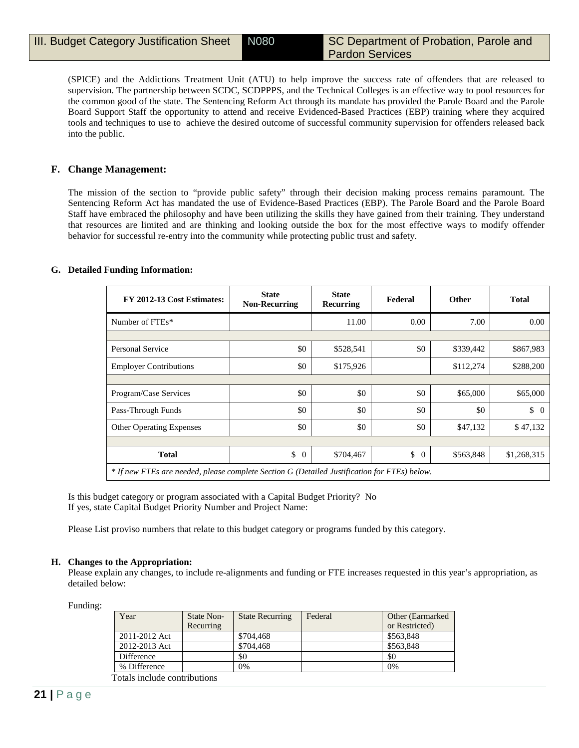(SPICE) and the Addictions Treatment Unit (ATU) to help improve the success rate of offenders that are released to supervision. The partnership between SCDC, SCDPPPS, and the Technical Colleges is an effective way to pool resources for the common good of the state. The Sentencing Reform Act through its mandate has provided the Parole Board and the Parole Board Support Staff the opportunity to attend and receive Evidenced-Based Practices (EBP) training where they acquired tools and techniques to use to achieve the desired outcome of successful community supervision for offenders released back into the public.

## **F. Change Management:**

The mission of the section to "provide public safety" through their decision making process remains paramount. The Sentencing Reform Act has mandated the use of Evidence-Based Practices (EBP). The Parole Board and the Parole Board Staff have embraced the philosophy and have been utilizing the skills they have gained from their training. They understand that resources are limited and are thinking and looking outside the box for the most effective ways to modify offender behavior for successful re-entry into the community while protecting public trust and safety.

#### **G. Detailed Funding Information:**

| FY 2012-13 Cost Estimates:                                                                   | <b>State</b><br><b>Non-Recurring</b> | <b>State</b><br>Recurring | Federal        | <b>Other</b> | <b>Total</b>     |
|----------------------------------------------------------------------------------------------|--------------------------------------|---------------------------|----------------|--------------|------------------|
| Number of FTEs*                                                                              |                                      | 11.00                     | 0.00           | 7.00         | 0.00             |
|                                                                                              |                                      |                           |                |              |                  |
| <b>Personal Service</b>                                                                      | \$0                                  | \$528,541                 | \$0            | \$339,442    | \$867,983        |
| <b>Employer Contributions</b>                                                                | \$0                                  | \$175,926                 |                | \$112,274    | \$288,200        |
|                                                                                              |                                      |                           |                |              |                  |
| Program/Case Services                                                                        | \$0                                  | \$0                       | \$0            | \$65,000     | \$65,000         |
| Pass-Through Funds                                                                           | \$0                                  | \$0                       | \$0            | \$0          | $\updownarrow$ 0 |
| <b>Other Operating Expenses</b>                                                              | \$0                                  | \$0                       | \$0            | \$47,132     | \$47,132         |
|                                                                                              |                                      |                           |                |              |                  |
| <b>Total</b>                                                                                 | \$<br>$\theta$                       | \$704,467                 | \$<br>$\Omega$ | \$563,848    | \$1,268,315      |
| * If new FTEs are needed, please complete Section G (Detailed Justification for FTEs) below. |                                      |                           |                |              |                  |

Is this budget category or program associated with a Capital Budget Priority? No If yes, state Capital Budget Priority Number and Project Name:

Please List proviso numbers that relate to this budget category or programs funded by this category.

#### **H. Changes to the Appropriation:**

Please explain any changes, to include re-alignments and funding or FTE increases requested in this year's appropriation, as detailed below:

Funding:

| Year          | State Non-<br>Recurring | <b>State Recurring</b> | Federal | Other (Earmarked)<br>or Restricted) |
|---------------|-------------------------|------------------------|---------|-------------------------------------|
| 2011-2012 Act |                         | \$704,468              |         | \$563,848                           |
| 2012-2013 Act |                         | \$704,468              |         | \$563,848                           |
| Difference    |                         | \$0                    |         | \$0                                 |
| % Difference  |                         | 0%                     |         | 0%                                  |

Totals include contributions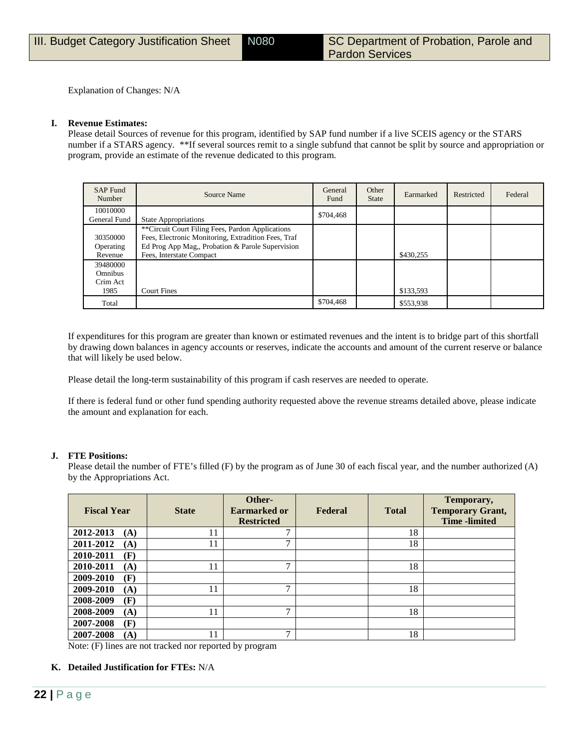Explanation of Changes: N/A

#### **I. Revenue Estimates:**

Please detail Sources of revenue for this program, identified by SAP fund number if a live SCEIS agency or the STARS number if a STARS agency. \*\*If several sources remit to a single subfund that cannot be split by source and appropriation or program, provide an estimate of the revenue dedicated to this program.

| <b>SAP Fund</b><br>Number                      | Source Name                                                                                                                                                                             | General<br>Fund | Other<br><b>State</b> | Earmarked | Restricted | Federal |
|------------------------------------------------|-----------------------------------------------------------------------------------------------------------------------------------------------------------------------------------------|-----------------|-----------------------|-----------|------------|---------|
| 10010000<br>General Fund                       | <b>State Appropriations</b>                                                                                                                                                             | \$704,468       |                       |           |            |         |
| 30350000<br>Operating<br>Revenue               | **Circuit Court Filing Fees, Pardon Applications<br>Fees, Electronic Monitoring, Extradition Fees, Traf<br>Ed Prog App Mag,, Probation & Parole Supervision<br>Fees, Interstate Compact |                 |                       | \$430,255 |            |         |
| 39480000<br><b>Omnibus</b><br>Crim Act<br>1985 | <b>Court Fines</b>                                                                                                                                                                      |                 |                       | \$133,593 |            |         |
| Total                                          |                                                                                                                                                                                         | \$704,468       |                       | \$553,938 |            |         |

If expenditures for this program are greater than known or estimated revenues and the intent is to bridge part of this shortfall by drawing down balances in agency accounts or reserves, indicate the accounts and amount of the current reserve or balance that will likely be used below.

Please detail the long-term sustainability of this program if cash reserves are needed to operate.

If there is federal fund or other fund spending authority requested above the revenue streams detailed above, please indicate the amount and explanation for each.

#### **J. FTE Positions:**

Please detail the number of FTE's filled (F) by the program as of June 30 of each fiscal year, and the number authorized (A) by the Appropriations Act.

| <b>Fiscal Year</b> | <b>State</b> | Other-<br><b>Earmarked or</b><br><b>Restricted</b> | Federal | <b>Total</b> | Temporary,<br><b>Temporary Grant,</b><br><b>Time</b> -limited |
|--------------------|--------------|----------------------------------------------------|---------|--------------|---------------------------------------------------------------|
| 2012-2013<br>(A)   | 11           | ⇁                                                  |         | 18           |                                                               |
| 2011-2012<br>(A)   | 11           | ⇁                                                  |         | 18           |                                                               |
| 2010-2011<br>(F)   |              |                                                    |         |              |                                                               |
| 2010-2011<br>(A)   | 11           | $\mathbf{r}$                                       |         | 18           |                                                               |
| 2009-2010<br>(F)   |              |                                                    |         |              |                                                               |
| 2009-2010<br>(A)   | 11           | $\mathbf{r}$                                       |         | 18           |                                                               |
| 2008-2009<br>(F)   |              |                                                    |         |              |                                                               |
| 2008-2009<br>(A)   | 11           | ⇁                                                  |         | 18           |                                                               |
| 2007-2008<br>(F)   |              |                                                    |         |              |                                                               |
| 2007-2008<br>(A)   | 11           | ⇁                                                  |         | 18           |                                                               |

Note: (F) lines are not tracked nor reported by program

#### **K. Detailed Justification for FTEs:** N/A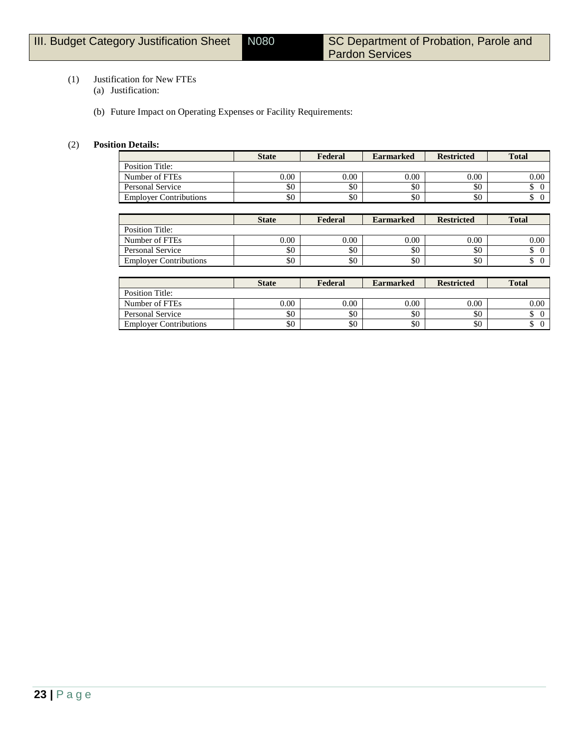## (1) Justification for New FTEs

- (a) Justification:
- (b) Future Impact on Operating Expenses or Facility Requirements:

## (2) **Position Details:**

|                               | <b>State</b> | Federal | <b>Earmarked</b> | <b>Restricted</b> | <b>Total</b> |
|-------------------------------|--------------|---------|------------------|-------------------|--------------|
| Position Title:               |              |         |                  |                   |              |
| Number of FTEs                | $0.00\,$     | 0.00    | 0.00             | 0.00              | $0.00\,$     |
| <b>Personal Service</b>       | \$0          | \$0     | \$0              | \$0               |              |
| <b>Employer Contributions</b> | \$0          | \$0     | \$0              | \$0               |              |

|                               | <b>State</b> | Federal | <b>Earmarked</b> | <b>Restricted</b> | <b>Total</b> |
|-------------------------------|--------------|---------|------------------|-------------------|--------------|
| Position Title:               |              |         |                  |                   |              |
| Number of FTEs                | 0.00         | 0.00    | 0.00             | 0.00              | 0.00         |
| Personal Service              | \$0          | \$0     | \$0              | \$0               |              |
| <b>Employer Contributions</b> | \$0          | \$0     | \$0              | \$0               |              |

|                               | <b>State</b> | Federal | <b>Earmarked</b> | <b>Restricted</b> | <b>Total</b>     |
|-------------------------------|--------------|---------|------------------|-------------------|------------------|
| Position Title:               |              |         |                  |                   |                  |
| Number of FTEs                | 0.00         | 0.00    | 0.00             | 0.00              | 0.00             |
| Personal Service              | \$0          | \$0     | \$0              | \$0               | $\sqrt{ }$<br>J. |
| <b>Employer Contributions</b> | \$0          | \$0     | \$0              | \$0               | Φ                |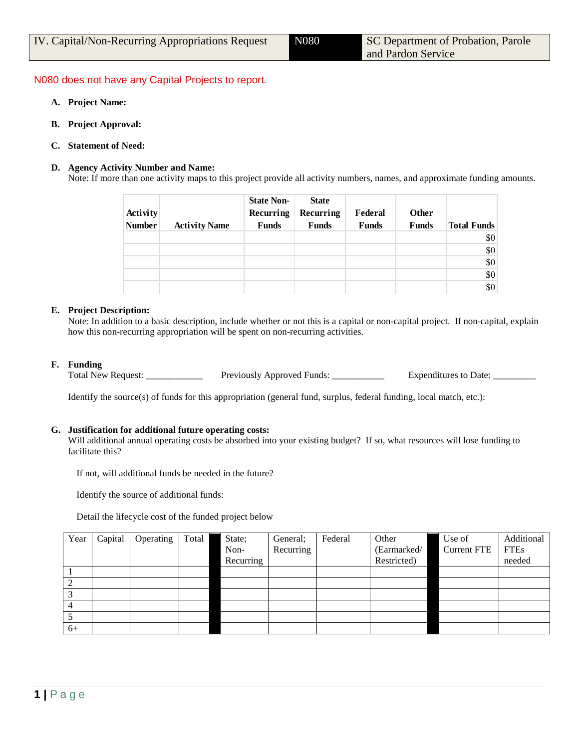## N080 does not have any Capital Projects to report.

- **A. Project Name:**
- **B. Project Approval:**
- **C. Statement of Need:**

#### **D. Agency Activity Number and Name:**

Note: If more than one activity maps to this project provide all activity numbers, names, and approximate funding amounts.

| Activity<br><b>Number</b> | <b>Activity Name</b> | <b>State Non-</b><br>Recurring<br><b>Funds</b> | <b>State</b><br>Recurring<br><b>Funds</b> | Federal<br><b>Funds</b> | Other<br>Funds | <b>Total Funds</b> |
|---------------------------|----------------------|------------------------------------------------|-------------------------------------------|-------------------------|----------------|--------------------|
|                           |                      |                                                |                                           |                         |                | \$0                |
|                           |                      |                                                |                                           |                         |                | \$0                |
|                           |                      |                                                |                                           |                         |                | \$0                |
|                           |                      |                                                |                                           |                         |                | \$0                |
|                           |                      |                                                |                                           |                         |                | \$0                |

#### **E. Project Description:**

Note: In addition to a basic description, include whether or not this is a capital or non-capital project. If non-capital, explain how this non-recurring appropriation will be spent on non-recurring activities.

### **F. Funding**

Total New Request: \_\_\_\_\_\_\_\_\_\_\_\_\_\_\_ Previously Approved Funds: \_\_\_\_\_\_\_\_\_\_\_\_\_ Expenditures to Date:

Identify the source(s) of funds for this appropriation (general fund, surplus, federal funding, local match, etc.):

#### **G. Justification for additional future operating costs:**

Will additional annual operating costs be absorbed into your existing budget? If so, what resources will lose funding to facilitate this?

If not, will additional funds be needed in the future?

Identify the source of additional funds:

Detail the lifecycle cost of the funded project below

| Year | Capital | Operating | Total | State;    | General;  | Federal | Other       | Use of             | Additional  |
|------|---------|-----------|-------|-----------|-----------|---------|-------------|--------------------|-------------|
|      |         |           |       | Non-      | Recurring |         | (Earmarked/ | <b>Current FTE</b> | <b>FTEs</b> |
|      |         |           |       | Recurring |           |         | Restricted) |                    | needed      |
|      |         |           |       |           |           |         |             |                    |             |
|      |         |           |       |           |           |         |             |                    |             |
|      |         |           |       |           |           |         |             |                    |             |
| 4    |         |           |       |           |           |         |             |                    |             |
|      |         |           |       |           |           |         |             |                    |             |
| $6+$ |         |           |       |           |           |         |             |                    |             |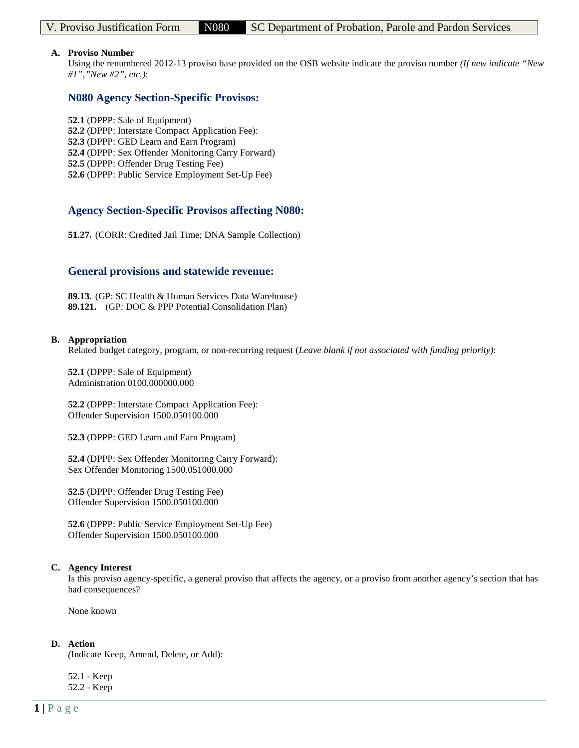### **A. Proviso Number**

Using the renumbered 2012-13 proviso base provided on the OSB website indicate the proviso number *(If new indicate "New #1","New #2", etc.)*:

## **N080 Agency Section-Specific Provisos:**

- **52.1** (DPPP: Sale of Equipment)
- **52.2** (DPPP: Interstate Compact Application Fee):
- **52.3** (DPPP: GED Learn and Earn Program)
- **52.4** (DPPP: Sex Offender Monitoring Carry Forward)
- **52.5** (DPPP: Offender Drug Testing Fee)
- **52.6** (DPPP: Public Service Employment Set-Up Fee)

## **Agency Section-Specific Provisos affecting N080:**

**51.27.** (CORR: Credited Jail Time; DNA Sample Collection)

## **General provisions and statewide revenue:**

**89.13.** (GP: SC Health & Human Services Data Warehouse) **89.121.** (GP: DOC & PPP Potential Consolidation Plan)

#### **B. Appropriation**

Related budget category, program, or non-recurring request (*Leave blank if not associated with funding priority)*:

**52.1** (DPPP: Sale of Equipment) Administration 0100.000000.000

**52.2** (DPPP: Interstate Compact Application Fee): Offender Supervision 1500.050100.000

**52.3** (DPPP: GED Learn and Earn Program)

**52.4** (DPPP: Sex Offender Monitoring Carry Forward): Sex Offender Monitoring 1500.051000.000

**52.5** (DPPP: Offender Drug Testing Fee) Offender Supervision 1500.050100.000

**52.6** (DPPP: Public Service Employment Set-Up Fee) Offender Supervision 1500.050100.000

## **C. Agency Interest**

Is this proviso agency-specific, a general proviso that affects the agency, or a proviso from another agency's section that has had consequences?

None known

#### **D. Action**

*(*Indicate Keep, Amend, Delete, or Add):

52.1 - Keep 52.2 - Keep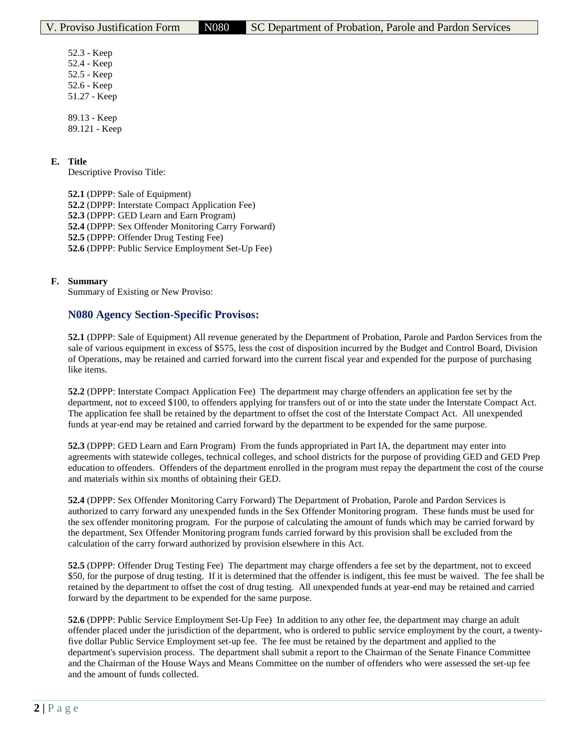52.3 - Keep 52.4 - Keep 52.5 - Keep 52.6 - Keep 51.27 - Keep

89.13 - Keep 89.121 - Keep

## **E. Title**

Descriptive Proviso Title:

**52.1** (DPPP: Sale of Equipment) **52.2** (DPPP: Interstate Compact Application Fee)

**52.3** (DPPP: GED Learn and Earn Program)

**52.4** (DPPP: Sex Offender Monitoring Carry Forward)

**52.5** (DPPP: Offender Drug Testing Fee)

**52.6** (DPPP: Public Service Employment Set-Up Fee)

## **F. Summary**

Summary of Existing or New Proviso:

## **N080 Agency Section-Specific Provisos:**

**52.1** (DPPP: Sale of Equipment) All revenue generated by the Department of Probation, Parole and Pardon Services from the sale of various equipment in excess of \$575, less the cost of disposition incurred by the Budget and Control Board, Division of Operations, may be retained and carried forward into the current fiscal year and expended for the purpose of purchasing like items.

**52.2** (DPPP: Interstate Compact Application Fee) The department may charge offenders an application fee set by the department, not to exceed \$100, to offenders applying for transfers out of or into the state under the Interstate Compact Act. The application fee shall be retained by the department to offset the cost of the Interstate Compact Act. All unexpended funds at year-end may be retained and carried forward by the department to be expended for the same purpose.

**52.3** (DPPP: GED Learn and Earn Program) From the funds appropriated in Part IA, the department may enter into agreements with statewide colleges, technical colleges, and school districts for the purpose of providing GED and GED Prep education to offenders. Offenders of the department enrolled in the program must repay the department the cost of the course and materials within six months of obtaining their GED.

**52.4** (DPPP: Sex Offender Monitoring Carry Forward) The Department of Probation, Parole and Pardon Services is authorized to carry forward any unexpended funds in the Sex Offender Monitoring program. These funds must be used for the sex offender monitoring program. For the purpose of calculating the amount of funds which may be carried forward by the department, Sex Offender Monitoring program funds carried forward by this provision shall be excluded from the calculation of the carry forward authorized by provision elsewhere in this Act.

**52.5** (DPPP: Offender Drug Testing Fee) The department may charge offenders a fee set by the department, not to exceed \$50, for the purpose of drug testing. If it is determined that the offender is indigent, this fee must be waived. The fee shall be retained by the department to offset the cost of drug testing. All unexpended funds at year-end may be retained and carried forward by the department to be expended for the same purpose.

**52.6** (DPPP: Public Service Employment Set-Up Fee) In addition to any other fee, the department may charge an adult offender placed under the jurisdiction of the department, who is ordered to public service employment by the court, a twentyfive dollar Public Service Employment set-up fee. The fee must be retained by the department and applied to the department's supervision process. The department shall submit a report to the Chairman of the Senate Finance Committee and the Chairman of the House Ways and Means Committee on the number of offenders who were assessed the set-up fee and the amount of funds collected.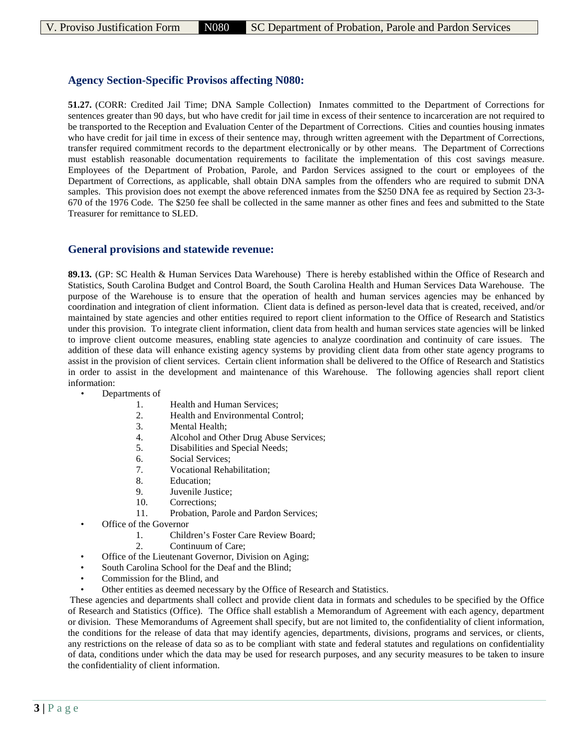## **Agency Section-Specific Provisos affecting N080:**

**51.27.** (CORR: Credited Jail Time; DNA Sample Collection) Inmates committed to the Department of Corrections for sentences greater than 90 days, but who have credit for jail time in excess of their sentence to incarceration are not required to be transported to the Reception and Evaluation Center of the Department of Corrections. Cities and counties housing inmates who have credit for jail time in excess of their sentence may, through written agreement with the Department of Corrections, transfer required commitment records to the department electronically or by other means. The Department of Corrections must establish reasonable documentation requirements to facilitate the implementation of this cost savings measure. Employees of the Department of Probation, Parole, and Pardon Services assigned to the court or employees of the Department of Corrections, as applicable, shall obtain DNA samples from the offenders who are required to submit DNA samples. This provision does not exempt the above referenced inmates from the \$250 DNA fee as required by Section 23-3- 670 of the 1976 Code. The \$250 fee shall be collected in the same manner as other fines and fees and submitted to the State Treasurer for remittance to SLED.

## **General provisions and statewide revenue:**

**89.13.** (GP: SC Health & Human Services Data Warehouse) There is hereby established within the Office of Research and Statistics, South Carolina Budget and Control Board, the South Carolina Health and Human Services Data Warehouse. The purpose of the Warehouse is to ensure that the operation of health and human services agencies may be enhanced by coordination and integration of client information. Client data is defined as person-level data that is created, received, and/or maintained by state agencies and other entities required to report client information to the Office of Research and Statistics under this provision. To integrate client information, client data from health and human services state agencies will be linked to improve client outcome measures, enabling state agencies to analyze coordination and continuity of care issues. The addition of these data will enhance existing agency systems by providing client data from other state agency programs to assist in the provision of client services. Certain client information shall be delivered to the Office of Research and Statistics in order to assist in the development and maintenance of this Warehouse. The following agencies shall report client information:

- Departments of
	- 1. Health and Human Services;
	- 2. Health and Environmental Control;<br>3. Mental Health:
	- Mental Health;
	- 4. Alcohol and Other Drug Abuse Services;
	- 5. Disabilities and Special Needs;
	- 6. Social Services;
	- 7. Vocational Rehabilitation;
	- 8. Education;
	- 9. Juvenile Justice;
	- 10. Corrections;
	- 11. Probation, Parole and Pardon Services;
	- Office of the Governor
		- 1. Children's Foster Care Review Board;
			- 2. Continuum of Care;
	- Office of the Lieutenant Governor, Division on Aging;
- South Carolina School for the Deaf and the Blind;
- Commission for the Blind, and
- Other entities as deemed necessary by the Office of Research and Statistics.

These agencies and departments shall collect and provide client data in formats and schedules to be specified by the Office of Research and Statistics (Office). The Office shall establish a Memorandum of Agreement with each agency, department or division. These Memorandums of Agreement shall specify, but are not limited to, the confidentiality of client information, the conditions for the release of data that may identify agencies, departments, divisions, programs and services, or clients, any restrictions on the release of data so as to be compliant with state and federal statutes and regulations on confidentiality of data, conditions under which the data may be used for research purposes, and any security measures to be taken to insure the confidentiality of client information.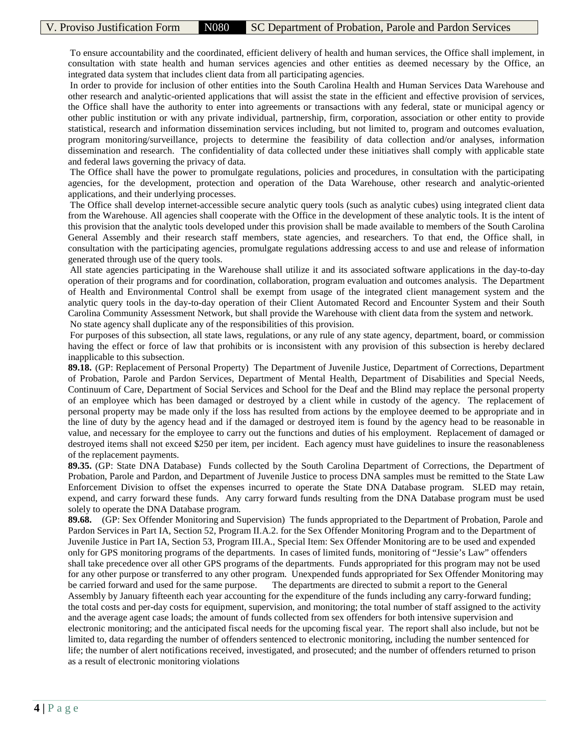To ensure accountability and the coordinated, efficient delivery of health and human services, the Office shall implement, in consultation with state health and human services agencies and other entities as deemed necessary by the Office, an integrated data system that includes client data from all participating agencies.

In order to provide for inclusion of other entities into the South Carolina Health and Human Services Data Warehouse and other research and analytic-oriented applications that will assist the state in the efficient and effective provision of services, the Office shall have the authority to enter into agreements or transactions with any federal, state or municipal agency or other public institution or with any private individual, partnership, firm, corporation, association or other entity to provide statistical, research and information dissemination services including, but not limited to, program and outcomes evaluation, program monitoring/surveillance, projects to determine the feasibility of data collection and/or analyses, information dissemination and research. The confidentiality of data collected under these initiatives shall comply with applicable state and federal laws governing the privacy of data.

The Office shall have the power to promulgate regulations, policies and procedures, in consultation with the participating agencies, for the development, protection and operation of the Data Warehouse, other research and analytic-oriented applications, and their underlying processes.

The Office shall develop internet-accessible secure analytic query tools (such as analytic cubes) using integrated client data from the Warehouse. All agencies shall cooperate with the Office in the development of these analytic tools. It is the intent of this provision that the analytic tools developed under this provision shall be made available to members of the South Carolina General Assembly and their research staff members, state agencies, and researchers. To that end, the Office shall, in consultation with the participating agencies, promulgate regulations addressing access to and use and release of information generated through use of the query tools.

All state agencies participating in the Warehouse shall utilize it and its associated software applications in the day-to-day operation of their programs and for coordination, collaboration, program evaluation and outcomes analysis. The Department of Health and Environmental Control shall be exempt from usage of the integrated client management system and the analytic query tools in the day-to-day operation of their Client Automated Record and Encounter System and their South Carolina Community Assessment Network, but shall provide the Warehouse with client data from the system and network. No state agency shall duplicate any of the responsibilities of this provision.

For purposes of this subsection, all state laws, regulations, or any rule of any state agency, department, board, or commission having the effect or force of law that prohibits or is inconsistent with any provision of this subsection is hereby declared inapplicable to this subsection.

**89.18.** (GP: Replacement of Personal Property) The Department of Juvenile Justice, Department of Corrections, Department of Probation, Parole and Pardon Services, Department of Mental Health, Department of Disabilities and Special Needs, Continuum of Care, Department of Social Services and School for the Deaf and the Blind may replace the personal property of an employee which has been damaged or destroyed by a client while in custody of the agency. The replacement of personal property may be made only if the loss has resulted from actions by the employee deemed to be appropriate and in the line of duty by the agency head and if the damaged or destroyed item is found by the agency head to be reasonable in value, and necessary for the employee to carry out the functions and duties of his employment. Replacement of damaged or destroyed items shall not exceed \$250 per item, per incident. Each agency must have guidelines to insure the reasonableness of the replacement payments.

**89.35.** (GP: State DNA Database) Funds collected by the South Carolina Department of Corrections, the Department of Probation, Parole and Pardon, and Department of Juvenile Justice to process DNA samples must be remitted to the State Law Enforcement Division to offset the expenses incurred to operate the State DNA Database program. SLED may retain, expend, and carry forward these funds. Any carry forward funds resulting from the DNA Database program must be used solely to operate the DNA Database program.

**89.68.** (GP: Sex Offender Monitoring and Supervision) The funds appropriated to the Department of Probation, Parole and Pardon Services in Part IA, Section 52, Program II.A.2. for the Sex Offender Monitoring Program and to the Department of Juvenile Justice in Part IA, Section 53, Program III.A., Special Item: Sex Offender Monitoring are to be used and expended only for GPS monitoring programs of the departments. In cases of limited funds, monitoring of "Jessie's Law" offenders shall take precedence over all other GPS programs of the departments. Funds appropriated for this program may not be used for any other purpose or transferred to any other program. Unexpended funds appropriated for Sex Offender Monitoring may be carried forward and used for the same purpose. The departments are directed to submit a report to the General Assembly by January fifteenth each year accounting for the expenditure of the funds including any carry-forward funding; the total costs and per-day costs for equipment, supervision, and monitoring; the total number of staff assigned to the activity and the average agent case loads; the amount of funds collected from sex offenders for both intensive supervision and electronic monitoring; and the anticipated fiscal needs for the upcoming fiscal year. The report shall also include, but not be limited to, data regarding the number of offenders sentenced to electronic monitoring, including the number sentenced for life; the number of alert notifications received, investigated, and prosecuted; and the number of offenders returned to prison as a result of electronic monitoring violations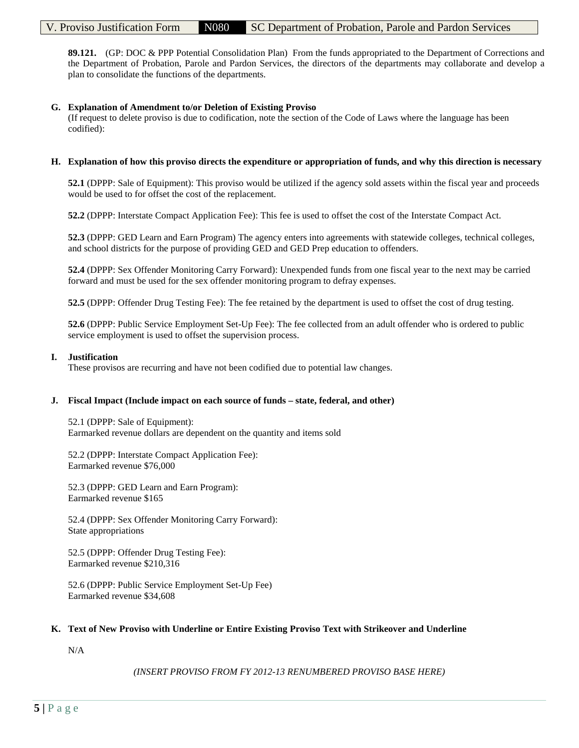**89.121.** (GP: DOC & PPP Potential Consolidation Plan) From the funds appropriated to the Department of Corrections and the Department of Probation, Parole and Pardon Services, the directors of the departments may collaborate and develop a plan to consolidate the functions of the departments.

## **G. Explanation of Amendment to/or Deletion of Existing Proviso**

(If request to delete proviso is due to codification, note the section of the Code of Laws where the language has been codified):

### **H. Explanation of how this proviso directs the expenditure or appropriation of funds, and why this direction is necessary**

**52.1** (DPPP: Sale of Equipment): This proviso would be utilized if the agency sold assets within the fiscal year and proceeds would be used to for offset the cost of the replacement.

**52.2** (DPPP: Interstate Compact Application Fee): This fee is used to offset the cost of the Interstate Compact Act.

**52.3** (DPPP: GED Learn and Earn Program) The agency enters into agreements with statewide colleges, technical colleges, and school districts for the purpose of providing GED and GED Prep education to offenders.

**52.4** (DPPP: Sex Offender Monitoring Carry Forward): Unexpended funds from one fiscal year to the next may be carried forward and must be used for the sex offender monitoring program to defray expenses.

**52.5** (DPPP: Offender Drug Testing Fee): The fee retained by the department is used to offset the cost of drug testing.

**52.6** (DPPP: Public Service Employment Set-Up Fee): The fee collected from an adult offender who is ordered to public service employment is used to offset the supervision process.

#### **I. Justification**

These provisos are recurring and have not been codified due to potential law changes.

## **J. Fiscal Impact (Include impact on each source of funds – state, federal, and other)**

52.1 (DPPP: Sale of Equipment): Earmarked revenue dollars are dependent on the quantity and items sold

52.2 (DPPP: Interstate Compact Application Fee): Earmarked revenue \$76,000

52.3 (DPPP: GED Learn and Earn Program): Earmarked revenue \$165

52.4 (DPPP: Sex Offender Monitoring Carry Forward): State appropriations

52.5 (DPPP: Offender Drug Testing Fee): Earmarked revenue \$210,316

52.6 (DPPP: Public Service Employment Set-Up Fee) Earmarked revenue \$34,608

## **K. Text of New Proviso with Underline or Entire Existing Proviso Text with Strikeover and Underline**

N/A

*(INSERT PROVISO FROM FY 2012-13 RENUMBERED PROVISO BASE HERE)*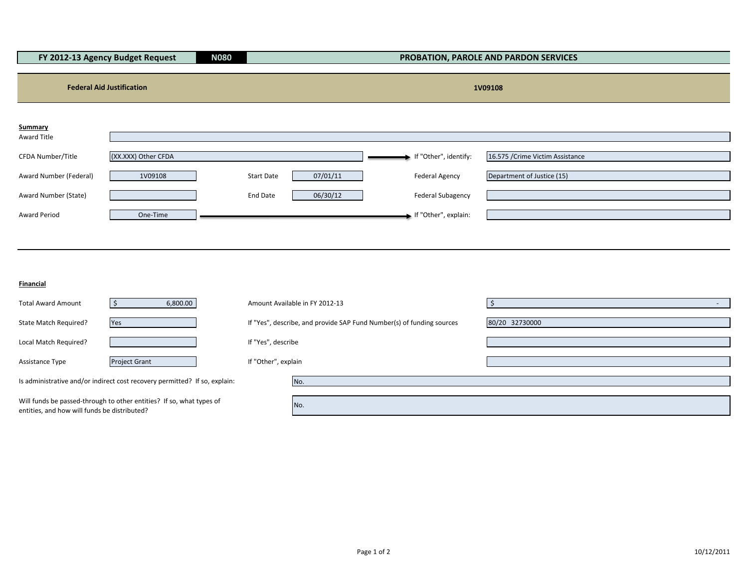| FY 2012-13 Agency Budget Request<br><b>N080</b> |                     |                   |          |                          | PROBATION, PAROLE AND PARDON SERVICES |
|-------------------------------------------------|---------------------|-------------------|----------|--------------------------|---------------------------------------|
|                                                 |                     |                   |          |                          |                                       |
| <b>Federal Aid Justification</b>                |                     |                   |          | 1V09108                  |                                       |
|                                                 |                     |                   |          |                          |                                       |
| Summary                                         |                     |                   |          |                          |                                       |
| Award Title                                     |                     |                   |          |                          |                                       |
| CFDA Number/Title                               | (XX.XXX) Other CFDA |                   |          | If "Other", identify:    | 16.575 / Crime Victim Assistance      |
| Award Number (Federal)                          | 1V09108             | <b>Start Date</b> | 07/01/11 | <b>Federal Agency</b>    | Department of Justice (15)            |
| Award Number (State)                            |                     | End Date          | 06/30/12 | <b>Federal Subagency</b> |                                       |
| Award Period                                    | One-Time            |                   |          | If "Other", explain:     |                                       |
|                                                 |                     |                   |          |                          |                                       |
|                                                 |                     |                   |          |                          |                                       |
|                                                 |                     |                   |          |                          |                                       |
| Financial                                       |                     |                   |          |                          |                                       |

| <b>Total Award Amount</b>                                                                                            | 6,800.00             |                     | Amount Available in FY 2012-13                                        |                |
|----------------------------------------------------------------------------------------------------------------------|----------------------|---------------------|-----------------------------------------------------------------------|----------------|
| State Match Required?                                                                                                | Yes                  |                     | If "Yes", describe, and provide SAP Fund Number(s) of funding sources | 80/20 32730000 |
| Local Match Required?                                                                                                |                      | If "Yes", describe  |                                                                       |                |
| Assistance Type                                                                                                      | <b>Project Grant</b> | If "Other", explain |                                                                       |                |
| Is administrative and/or indirect cost recovery permitted? If so, explain:                                           |                      |                     | No.                                                                   |                |
| Will funds be passed-through to other entities? If so, what types of<br>entities, and how will funds be distributed? |                      |                     | No.                                                                   |                |